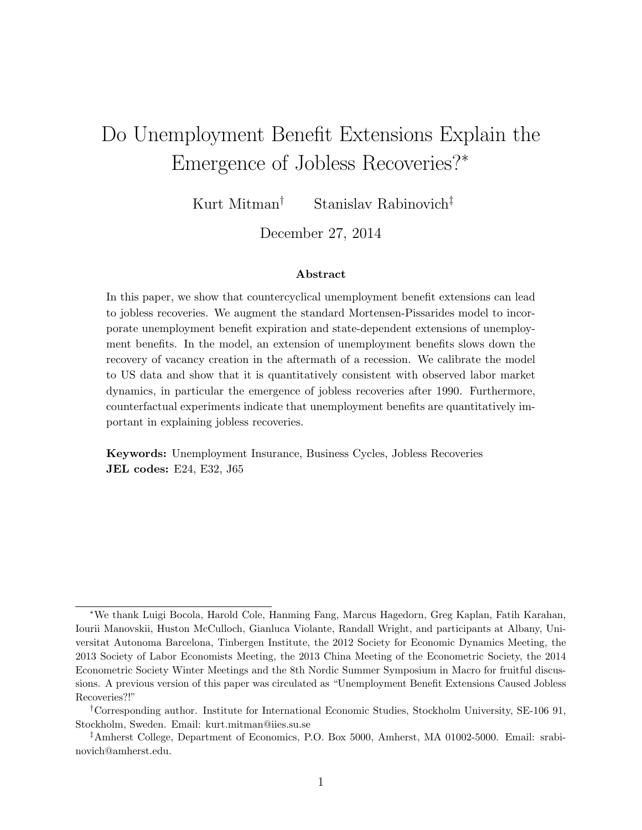# <span id="page-0-0"></span>Do Unemployment Benefit Extensions Explain the Emergence of Jobless Recoveries?\*

Kurt Mitman*†* Stanislav Rabinovich*‡*

December 27, 2014

#### Abstract

In this paper, we show that countercyclical unemployment benefit extensions can lead to jobless recoveries. We augment the standard Mortensen-Pissarides model to incorporate unemployment benefit expiration and state-dependent extensions of unemployment benefits. In the model, an extension of unemployment benefits slows down the recovery of vacancy creation in the aftermath of a recession. We calibrate the model to US data and show that it is quantitatively consistent with observed labor market dynamics, in particular the emergence of jobless recoveries after 1990. Furthermore, counterfactual experiments indicate that unemployment benefits are quantitatively important in explaining jobless recoveries.

Keywords: Unemployment Insurance, Business Cycles, Jobless Recoveries JEL codes: E24, E32, J65

<sup>⇤</sup>We thank Luigi Bocola, Harold Cole, Hanming Fang, Marcus Hagedorn, Greg Kaplan, Fatih Karahan, Iourii Manovskii, Huston McCulloch, Gianluca Violante, Randall Wright, and participants at Albany, Universitat Autonoma Barcelona, Tinbergen Institute, the 2012 Society for Economic Dynamics Meeting, the 2013 Society of Labor Economists Meeting, the 2013 China Meeting of the Econometric Society, the 2014 Econometric Society Winter Meetings and the 8th Nordic Summer Symposium in Macro for fruitful discussions. A previous version of this paper was circulated as "Unemployment Benefit Extensions Caused Jobless Recoveries?!"

*<sup>†</sup>*Corresponding author. Institute for International Economic Studies, Stockholm University, SE-106 91, Stockholm, Sweden. Email: kurt.mitman@iies.su.se

*<sup>‡</sup>*Amherst College, Department of Economics, P.O. Box 5000, Amherst, MA 01002-5000. Email: srabinovich@amherst.edu.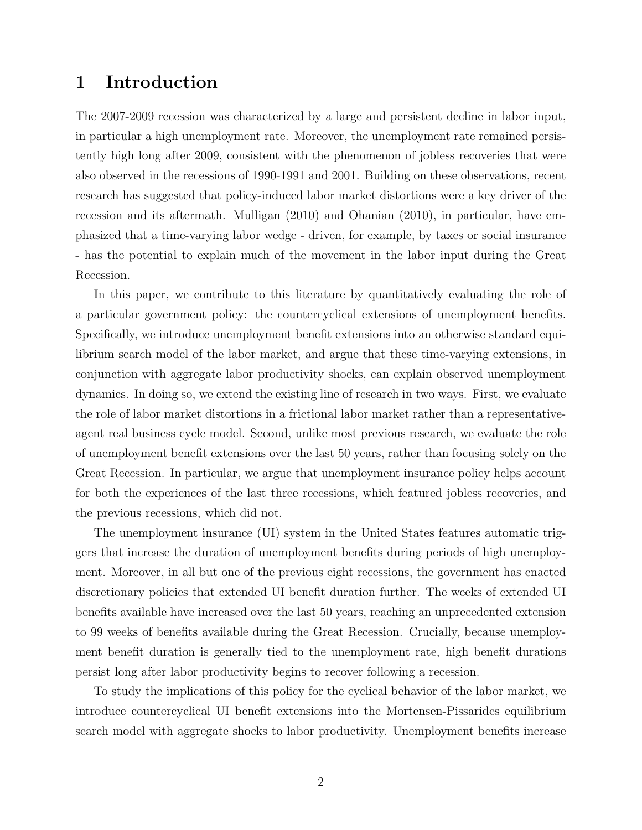### 1 Introduction

The 2007-2009 recession was characterized by a large and persistent decline in labor input, in particular a high unemployment rate. Moreover, the unemployment rate remained persistently high long after 2009, consistent with the phenomenon of jobless recoveries that were also observed in the recessions of 1990-1991 and 2001. Building on these observations, recent research has suggested that policy-induced labor market distortions were a key driver of the recession and its aftermath. [Mulligan](#page-27-0) [\(2010\)](#page-27-0) and [Ohanian](#page-27-1) [\(2010\)](#page-27-1), in particular, have emphasized that a time-varying labor wedge - driven, for example, by taxes or social insurance - has the potential to explain much of the movement in the labor input during the Great Recession.

In this paper, we contribute to this literature by quantitatively evaluating the role of a particular government policy: the countercyclical extensions of unemployment benefits. Specifically, we introduce unemployment benefit extensions into an otherwise standard equilibrium search model of the labor market, and argue that these time-varying extensions, in conjunction with aggregate labor productivity shocks, can explain observed unemployment dynamics. In doing so, we extend the existing line of research in two ways. First, we evaluate the role of labor market distortions in a frictional labor market rather than a representativeagent real business cycle model. Second, unlike most previous research, we evaluate the role of unemployment benefit extensions over the last 50 years, rather than focusing solely on the Great Recession. In particular, we argue that unemployment insurance policy helps account for both the experiences of the last three recessions, which featured jobless recoveries, and the previous recessions, which did not.

The unemployment insurance (UI) system in the United States features automatic triggers that increase the duration of unemployment benefits during periods of high unemployment. Moreover, in all but one of the previous eight recessions, the government has enacted discretionary policies that extended UI benefit duration further. The weeks of extended UI benefits available have increased over the last 50 years, reaching an unprecedented extension to 99 weeks of benefits available during the Great Recession. Crucially, because unemployment benefit duration is generally tied to the unemployment rate, high benefit durations persist long after labor productivity begins to recover following a recession.

To study the implications of this policy for the cyclical behavior of the labor market, we introduce countercyclical UI benefit extensions into the Mortensen-Pissarides equilibrium search model with aggregate shocks to labor productivity. Unemployment benefits increase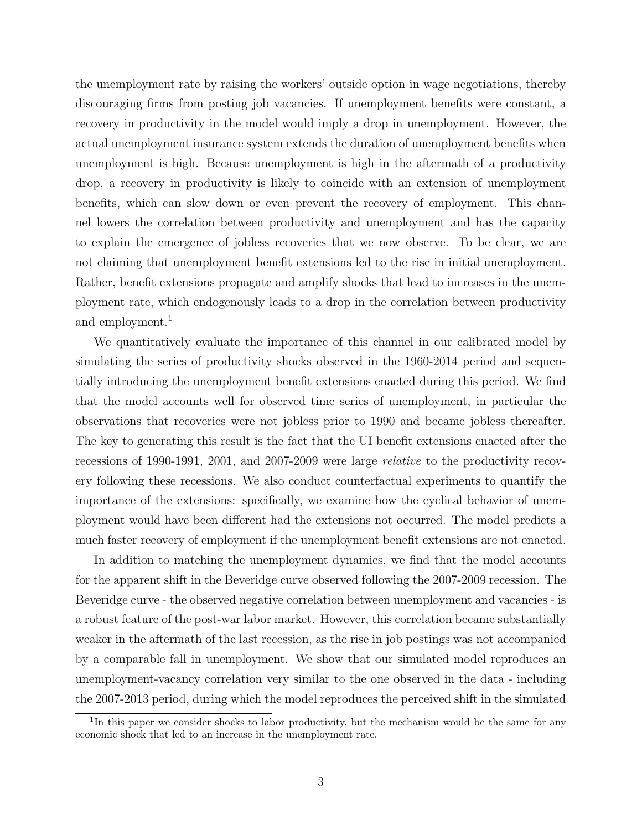the unemployment rate by raising the workers' outside option in wage negotiations, thereby discouraging firms from posting job vacancies. If unemployment benefits were constant, a recovery in productivity in the model would imply a drop in unemployment. However, the actual unemployment insurance system extends the duration of unemployment benefits when unemployment is high. Because unemployment is high in the aftermath of a productivity drop, a recovery in productivity is likely to coincide with an extension of unemployment benefits, which can slow down or even prevent the recovery of employment. This channel lowers the correlation between productivity and unemployment and has the capacity to explain the emergence of jobless recoveries that we now observe. To be clear, we are not claiming that unemployment benefit extensions led to the rise in initial unemployment. Rather, benefit extensions propagate and amplify shocks that lead to increases in the unemployment rate, which endogenously leads to a drop in the correlation between productivity and employment.<sup>[1](#page-0-0)</sup>

We quantitatively evaluate the importance of this channel in our calibrated model by simulating the series of productivity shocks observed in the 1960-2014 period and sequentially introducing the unemployment benefit extensions enacted during this period. We find that the model accounts well for observed time series of unemployment, in particular the observations that recoveries were not jobless prior to 1990 and became jobless thereafter. The key to generating this result is the fact that the UI benefit extensions enacted after the recessions of 1990-1991, 2001, and 2007-2009 were large *relative* to the productivity recovery following these recessions. We also conduct counterfactual experiments to quantify the importance of the extensions: specifically, we examine how the cyclical behavior of unemployment would have been different had the extensions not occurred. The model predicts a much faster recovery of employment if the unemployment benefit extensions are not enacted.

In addition to matching the unemployment dynamics, we find that the model accounts for the apparent shift in the Beveridge curve observed following the 2007-2009 recession. The Beveridge curve - the observed negative correlation between unemployment and vacancies - is a robust feature of the post-war labor market. However, this correlation became substantially weaker in the aftermath of the last recession, as the rise in job postings was not accompanied by a comparable fall in unemployment. We show that our simulated model reproduces an unemployment-vacancy correlation very similar to the one observed in the data - including the 2007-2013 period, during which the model reproduces the perceived shift in the simulated

<sup>&</sup>lt;sup>1</sup>In this paper we consider shocks to labor productivity, but the mechanism would be the same for any economic shock that led to an increase in the unemployment rate.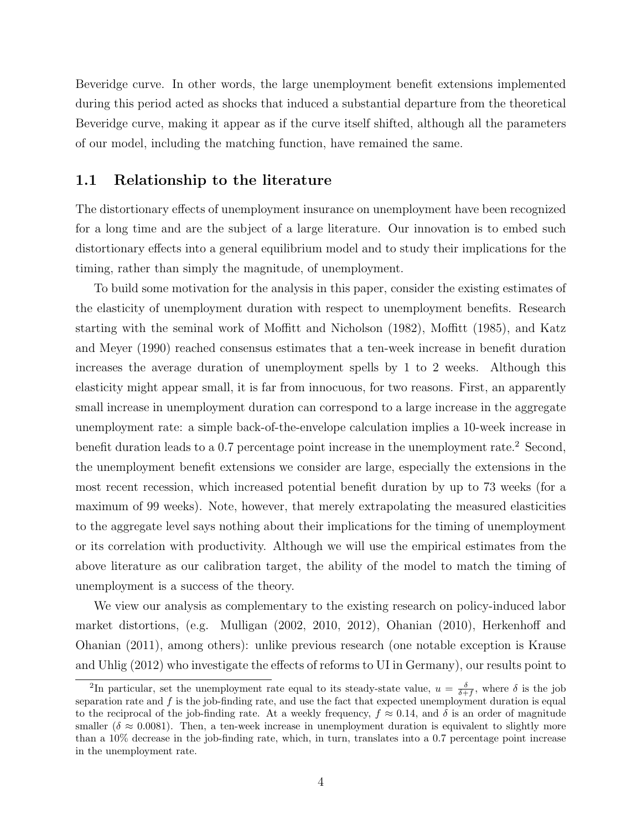Beveridge curve. In other words, the large unemployment benefit extensions implemented during this period acted as shocks that induced a substantial departure from the theoretical Beveridge curve, making it appear as if the curve itself shifted, although all the parameters of our model, including the matching function, have remained the same.

#### <span id="page-3-0"></span>1.1 Relationship to the literature

The distortionary effects of unemployment insurance on unemployment have been recognized for a long time and are the subject of a large literature. Our innovation is to embed such distortionary effects into a general equilibrium model and to study their implications for the timing, rather than simply the magnitude, of unemployment.

To build some motivation for the analysis in this paper, consider the existing estimates of the elasticity of unemployment duration with respect to unemployment benefits. Research starting with the seminal work of Moffi[tt and Nicholson](#page-27-2) [\(1982\)](#page-27-2), [Mo](#page-26-0)ffitt [\(1985\)](#page-26-0), and [Katz](#page-26-1) [and Meyer](#page-26-1) [\(1990\)](#page-26-1) reached consensus estimates that a ten-week increase in benefit duration increases the average duration of unemployment spells by 1 to 2 weeks. Although this elasticity might appear small, it is far from innocuous, for two reasons. First, an apparently small increase in unemployment duration can correspond to a large increase in the aggregate unemployment rate: a simple back-of-the-envelope calculation implies a 10-week increase in benefit duration leads to a 0.7 percentage point increase in the unemployment rate.<sup>[2](#page-0-0)</sup> Second, the unemployment benefit extensions we consider are large, especially the extensions in the most recent recession, which increased potential benefit duration by up to 73 weeks (for a maximum of 99 weeks). Note, however, that merely extrapolating the measured elasticities to the aggregate level says nothing about their implications for the timing of unemployment or its correlation with productivity. Although we will use the empirical estimates from the above literature as our calibration target, the ability of the model to match the timing of unemployment is a success of the theory.

We view our analysis as complementary to the existing research on policy-induced labor market distortions, (e.g. Mulligan  $(2002, 2010, 2012)$  $(2002, 2010, 2012)$  $(2002, 2010, 2012)$ , [Ohanian](#page-27-1)  $(2010)$ , [Herkenho](#page-26-2)ff and [Ohanian](#page-26-2) [\(2011\)](#page-26-2), among others): unlike previous research (one notable exception is [Krause](#page-26-3) [and Uhlig](#page-26-3)  $(2012)$  who investigate the effects of reforms to UI in Germany), our results point to

<sup>&</sup>lt;sup>2</sup>In particular, set the unemployment rate equal to its steady-state value,  $u = \frac{\delta}{\delta + f}$ , where  $\delta$  is the job separation rate and *f* is the job-finding rate, and use the fact that expected unemployment duration is equal to the reciprocal of the job-finding rate. At a weekly frequency,  $f \approx 0.14$ , and  $\delta$  is an order of magnitude smaller ( $\delta \approx 0.0081$ ). Then, a ten-week increase in unemployment duration is equivalent to slightly more than a 10% decrease in the job-finding rate, which, in turn, translates into a 0.7 percentage point increase in the unemployment rate.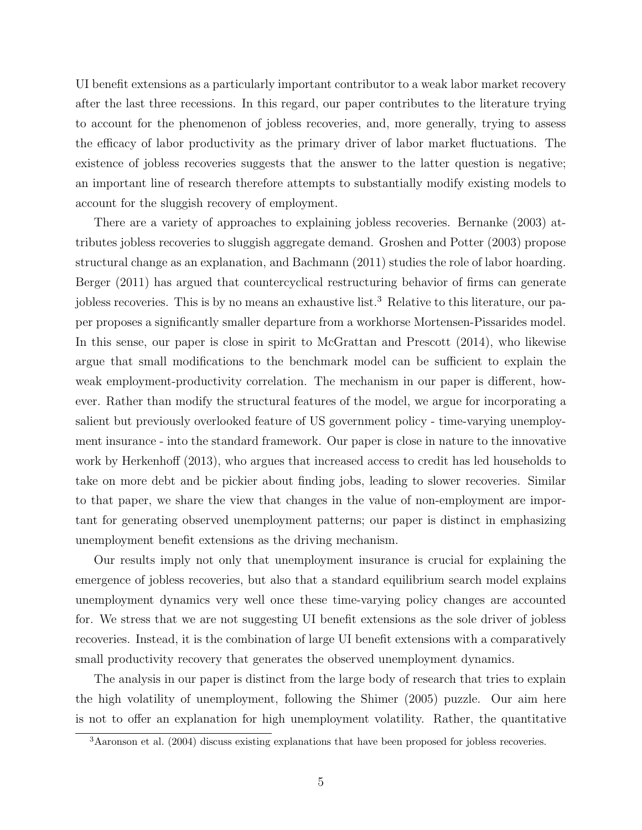UI benefit extensions as a particularly important contributor to a weak labor market recovery after the last three recessions. In this regard, our paper contributes to the literature trying to account for the phenomenon of jobless recoveries, and, more generally, trying to assess the efficacy of labor productivity as the primary driver of labor market fluctuations. The existence of jobless recoveries suggests that the answer to the latter question is negative; an important line of research therefore attempts to substantially modify existing models to account for the sluggish recovery of employment.

There are a variety of approaches to explaining jobless recoveries. [Bernanke](#page-25-0) [\(2003\)](#page-25-0) attributes jobless recoveries to sluggish aggregate demand. [Groshen and Potter](#page-26-4) [\(2003\)](#page-26-4) propose structural change as an explanation, and [Bachmann](#page-25-1) [\(2011\)](#page-25-1) studies the role of labor hoarding. [Berger](#page-25-2) [\(2011\)](#page-25-2) has argued that countercyclical restructuring behavior of firms can generate jobless recoveries. This is by no means an exhaustive list.<sup>[3](#page-0-0)</sup> Relative to this literature, our paper proposes a significantly smaller departure from a workhorse Mortensen-Pissarides model. In this sense, our paper is close in spirit to [McGrattan and Prescott](#page-26-5) [\(2014\)](#page-26-5), who likewise argue that small modifications to the benchmark model can be sufficient to explain the weak employment-productivity correlation. The mechanism in our paper is different, however. Rather than modify the structural features of the model, we argue for incorporating a salient but previously overlooked feature of US government policy - time-varying unemployment insurance - into the standard framework. Our paper is close in nature to the innovative work by [Herkenho](#page-26-6)ff [\(2013\)](#page-26-6), who argues that increased access to credit has led households to take on more debt and be pickier about finding jobs, leading to slower recoveries. Similar to that paper, we share the view that changes in the value of non-employment are important for generating observed unemployment patterns; our paper is distinct in emphasizing unemployment benefit extensions as the driving mechanism.

Our results imply not only that unemployment insurance is crucial for explaining the emergence of jobless recoveries, but also that a standard equilibrium search model explains unemployment dynamics very well once these time-varying policy changes are accounted for. We stress that we are not suggesting UI benefit extensions as the sole driver of jobless recoveries. Instead, it is the combination of large UI benefit extensions with a comparatively small productivity recovery that generates the observed unemployment dynamics.

The analysis in our paper is distinct from the large body of research that tries to explain the high volatility of unemployment, following the [Shimer](#page-27-5) [\(2005\)](#page-27-5) puzzle. Our aim here is not to offer an explanation for high unemployment volatility. Rather, the quantitative

<sup>&</sup>lt;sup>3</sup>[Aaronson et al.](#page-25-3) [\(2004\)](#page-25-3) discuss existing explanations that have been proposed for jobless recoveries.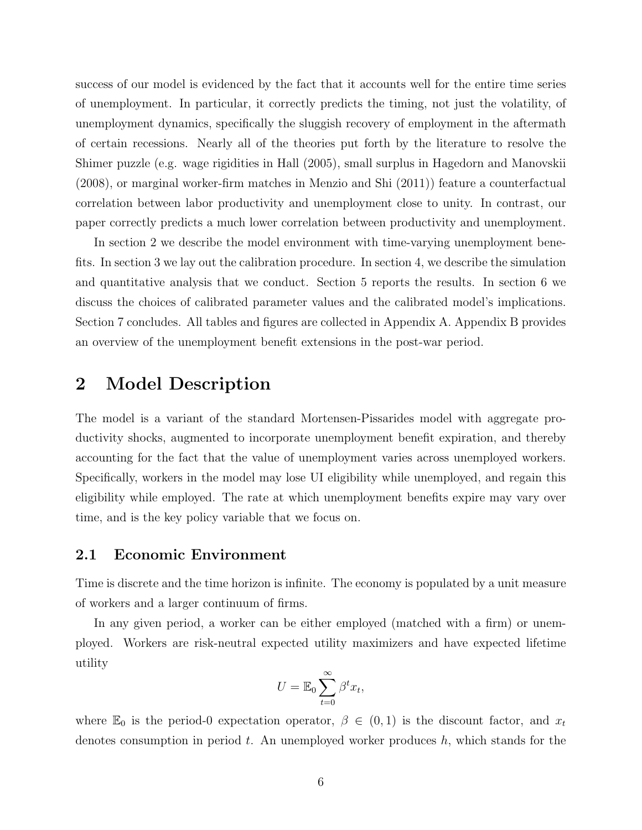success of our model is evidenced by the fact that it accounts well for the entire time series of unemployment. In particular, it correctly predicts the timing, not just the volatility, of unemployment dynamics, specifically the sluggish recovery of employment in the aftermath of certain recessions. Nearly all of the theories put forth by the literature to resolve the Shimer puzzle (e.g. wage rigidities in [Hall](#page-26-7) [\(2005\)](#page-26-7), small surplus in [Hagedorn and Manovskii](#page-26-8) [\(2008\)](#page-26-8), or marginal worker-firm matches in [Menzio and Shi](#page-26-9) [\(2011\)](#page-26-9)) feature a counterfactual correlation between labor productivity and unemployment close to unity. In contrast, our paper correctly predicts a much lower correlation between productivity and unemployment.

In section [2](#page-5-0) we describe the model environment with time-varying unemployment benefits. In section [3](#page-11-0) we lay out the calibration procedure. In section [4,](#page-13-0) we describe the simulation and quantitative analysis that we conduct. Section [5](#page-14-0) reports the results. In section [6](#page-18-0) we discuss the choices of calibrated parameter values and the calibrated model's implications. Section [7](#page-23-0) concludes. All tables and figures are collected in Appendix [A.](#page-28-0) Appendix [B](#page-41-0) provides an overview of the unemployment benefit extensions in the post-war period.

### <span id="page-5-0"></span>2 Model Description

The model is a variant of the standard Mortensen-Pissarides model with aggregate productivity shocks, augmented to incorporate unemployment benefit expiration, and thereby accounting for the fact that the value of unemployment varies across unemployed workers. Specifically, workers in the model may lose UI eligibility while unemployed, and regain this eligibility while employed. The rate at which unemployment benefits expire may vary over time, and is the key policy variable that we focus on.

#### 2.1 Economic Environment

Time is discrete and the time horizon is infinite. The economy is populated by a unit measure of workers and a larger continuum of firms.

In any given period, a worker can be either employed (matched with a firm) or unemployed. Workers are risk-neutral expected utility maximizers and have expected lifetime utility

$$
U = \mathbb{E}_0 \sum_{t=0}^{\infty} \beta^t x_t,
$$

where  $\mathbb{E}_0$  is the period-0 expectation operator,  $\beta \in (0,1)$  is the discount factor, and  $x_t$ denotes consumption in period *t*. An unemployed worker produces *h*, which stands for the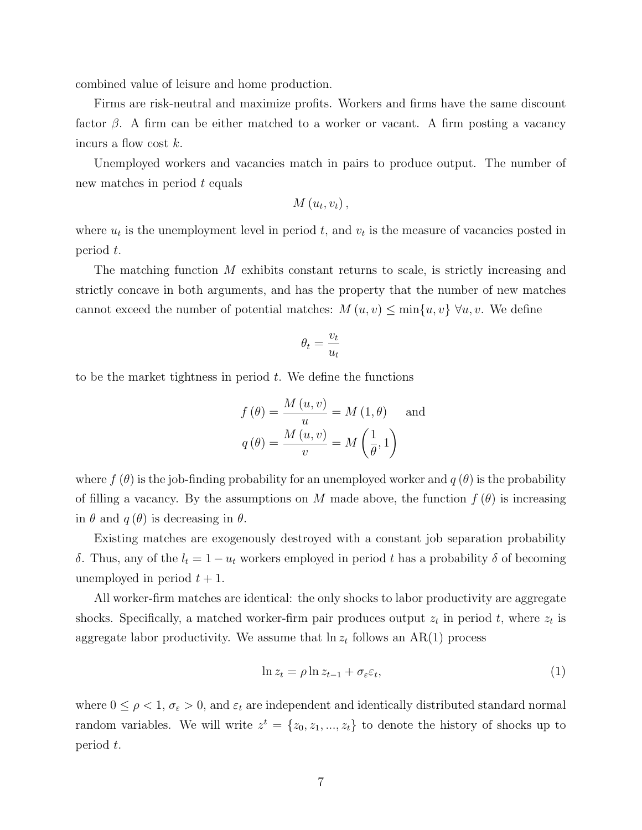combined value of leisure and home production.

Firms are risk-neutral and maximize profits. Workers and firms have the same discount factor  $\beta$ . A firm can be either matched to a worker or vacant. A firm posting a vacancy incurs a flow cost *k*.

Unemployed workers and vacancies match in pairs to produce output. The number of new matches in period *t* equals

$$
M(u_t,v_t)\,,
$$

where  $u_t$  is the unemployment level in period  $t$ , and  $v_t$  is the measure of vacancies posted in period *t*.

The matching function *M* exhibits constant returns to scale, is strictly increasing and strictly concave in both arguments, and has the property that the number of new matches cannot exceed the number of potential matches:  $M(u, v) \leq \min\{u, v\}$   $\forall u, v$ . We define

$$
\theta_t = \frac{v_t}{u_t}
$$

to be the market tightness in period *t*. We define the functions

$$
f(\theta) = \frac{M(u, v)}{u} = M(1, \theta) \text{ and}
$$

$$
q(\theta) = \frac{M(u, v)}{v} = M(\frac{1}{\theta}, 1)
$$

where  $f(\theta)$  is the job-finding probability for an unemployed worker and  $q(\theta)$  is the probability of filling a vacancy. By the assumptions on *M* made above, the function  $f(\theta)$  is increasing in  $\theta$  and  $q(\theta)$  is decreasing in  $\theta$ .

Existing matches are exogenously destroyed with a constant job separation probability  $\delta$ . Thus, any of the  $l_t = 1 - u_t$  workers employed in period t has a probability  $\delta$  of becoming unemployed in period  $t + 1$ .

All worker-firm matches are identical: the only shocks to labor productivity are aggregate shocks. Specifically, a matched worker-firm pair produces output  $z_t$  in period  $t$ , where  $z_t$  is aggregate labor productivity. We assume that  $\ln z_t$  follows an AR(1) process

<span id="page-6-0"></span>
$$
\ln z_t = \rho \ln z_{t-1} + \sigma_\varepsilon \varepsilon_t,\tag{1}
$$

where  $0 \le \rho < 1$ ,  $\sigma_{\varepsilon} > 0$ , and  $\varepsilon_t$  are independent and identically distributed standard normal random variables. We will write  $z^t = \{z_0, z_1, ..., z_t\}$  to denote the history of shocks up to period *t*.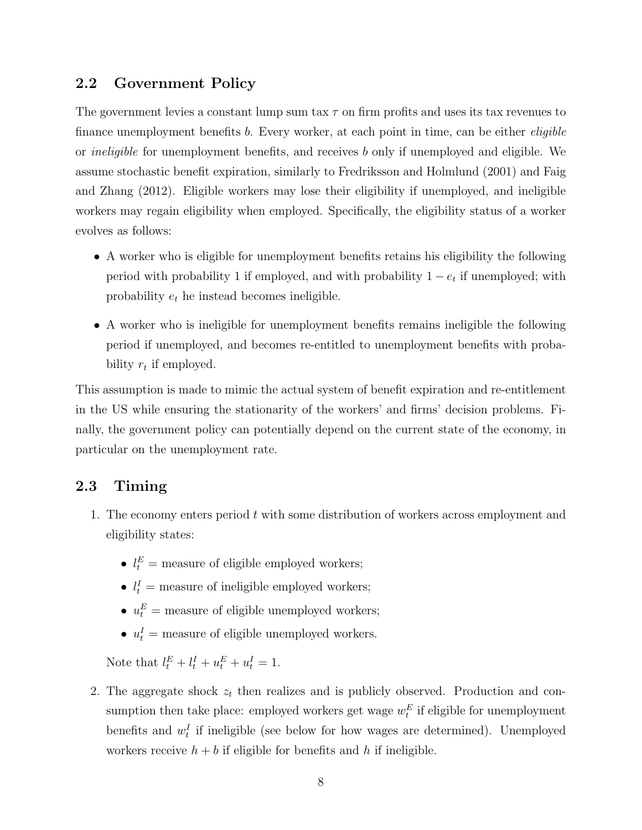### 2.2 Government Policy

The government levies a constant lump sum tax  $\tau$  on firm profits and uses its tax revenues to finance unemployment benefits *b*. Every worker, at each point in time, can be either *eligible* or *ineligible* for unemployment benefits, and receives *b* only if unemployed and eligible. We assume stochastic benefit expiration, similarly to [Fredriksson and Holmlund](#page-26-10) [\(2001\)](#page-26-10) and [Faig](#page-25-4) [and Zhang](#page-25-4) [\(2012\)](#page-25-4). Eligible workers may lose their eligibility if unemployed, and ineligible workers may regain eligibility when employed. Specifically, the eligibility status of a worker evolves as follows:

- A worker who is eligible for unemployment benefits retains his eligibility the following period with probability 1 if employed, and with probability  $1 - e_t$  if unemployed; with probability *e<sup>t</sup>* he instead becomes ineligible.
- *•* A worker who is ineligible for unemployment benefits remains ineligible the following period if unemployed, and becomes re-entitled to unemployment benefits with probability *r<sup>t</sup>* if employed.

This assumption is made to mimic the actual system of benefit expiration and re-entitlement in the US while ensuring the stationarity of the workers' and firms' decision problems. Finally, the government policy can potentially depend on the current state of the economy, in particular on the unemployment rate.

### 2.3 Timing

- 1. The economy enters period *t* with some distribution of workers across employment and eligibility states:
	- $l_t^E$  = measure of eligible employed workers;
	- $l_t^I$  = measure of ineligible employed workers;
	- $u_t^E$  = measure of eligible unemployed workers;
	- $u_t^I$  = measure of eligible unemployed workers.

Note that  $l_t^E + l_t^I + u_t^E + u_t^I = 1$ .

2. The aggregate shock *z<sup>t</sup>* then realizes and is publicly observed. Production and consumption then take place: employed workers get wage  $w_t^E$  if eligible for unemployment benefits and  $w_t^I$  if ineligible (see below for how wages are determined). Unemployed workers receive  $h + b$  if eligible for benefits and h if ineligible.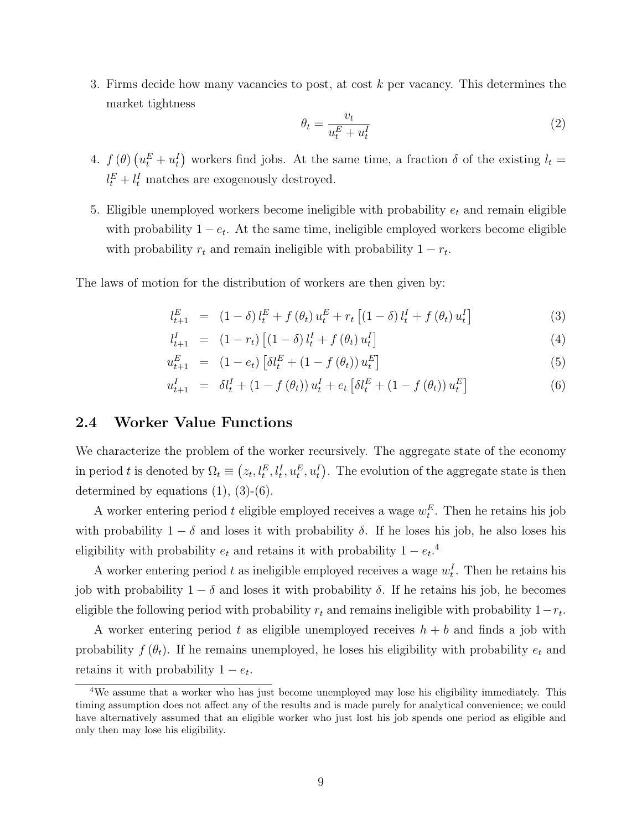3. Firms decide how many vacancies to post, at cost *k* per vacancy. This determines the market tightness

$$
\theta_t = \frac{v_t}{u_t^E + u_t^I} \tag{2}
$$

- 4.  $f(\theta) (u_t^E + u_t^I)$  workers find jobs. At the same time, a fraction  $\delta$  of the existing  $l_t =$  $l_t^E + l_t^I$  matches are exogenously destroyed.
- 5. Eligible unemployed workers become ineligible with probability *e<sup>t</sup>* and remain eligible with probability  $1 - e_t$ . At the same time, ineligible employed workers become eligible with probability  $r_t$  and remain ineligible with probability  $1 - r_t$ .

The laws of motion for the distribution of workers are then given by:

<span id="page-8-0"></span>
$$
l_{t+1}^{E} = (1 - \delta) l_t^{E} + f(\theta_t) u_t^{E} + r_t [(1 - \delta) l_t^{I} + f(\theta_t) u_t^{I}]
$$
\n(3)

$$
l_{t+1}^{I} = (1 - r_t) [(1 - \delta) l_t^{I} + f(\theta_t) u_t^{I}]
$$
\n(4)

$$
u_{t+1}^{E} = (1 - e_t) \left[ \delta l_t^{E} + (1 - f(\theta_t)) u_t^{E} \right]
$$
\n(5)

$$
u_{t+1}^I = \delta l_t^I + (1 - f(\theta_t)) u_t^I + e_t \left[ \delta l_t^E + (1 - f(\theta_t)) u_t^E \right]
$$
 (6)

#### 2.4 Worker Value Functions

We characterize the problem of the worker recursively. The aggregate state of the economy in period *t* is denoted by  $\Omega_t \equiv (z_t, l_t^E, l_t^I, u_t^E, u_t^I)$ . The evolution of the aggregate state is then determined by equations  $(1), (3)-(6)$  $(1), (3)-(6)$  $(1), (3)-(6)$  $(1), (3)-(6)$  $(1), (3)-(6)$ .

A worker entering period  $t$  eligible employed receives a wage  $w_t^E$ . Then he retains his job with probability  $1 - \delta$  and loses it with probability  $\delta$ . If he loses his job, he also loses his eligibility with probability  $e_t$  and retains it with probability  $1 - e_t$ <sup>[4](#page-0-0)</sup>.

A worker entering period  $t$  as ineligible employed receives a wage  $w_t^I$ . Then he retains his job with probability  $1 - \delta$  and loses it with probability  $\delta$ . If he retains his job, he becomes eligible the following period with probability  $r_t$  and remains ineligible with probability  $1-r_t$ .

A worker entering period *t* as eligible unemployed receives *h* + *b* and finds a job with probability  $f(\theta_t)$ . If he remains unemployed, he loses his eligibility with probability  $e_t$  and retains it with probability  $1 - e_t$ .

<sup>&</sup>lt;sup>4</sup>We assume that a worker who has just become unemployed may lose his eligibility immediately. This timing assumption does not affect any of the results and is made purely for analytical convenience; we could have alternatively assumed that an eligible worker who just lost his job spends one period as eligible and only then may lose his eligibility.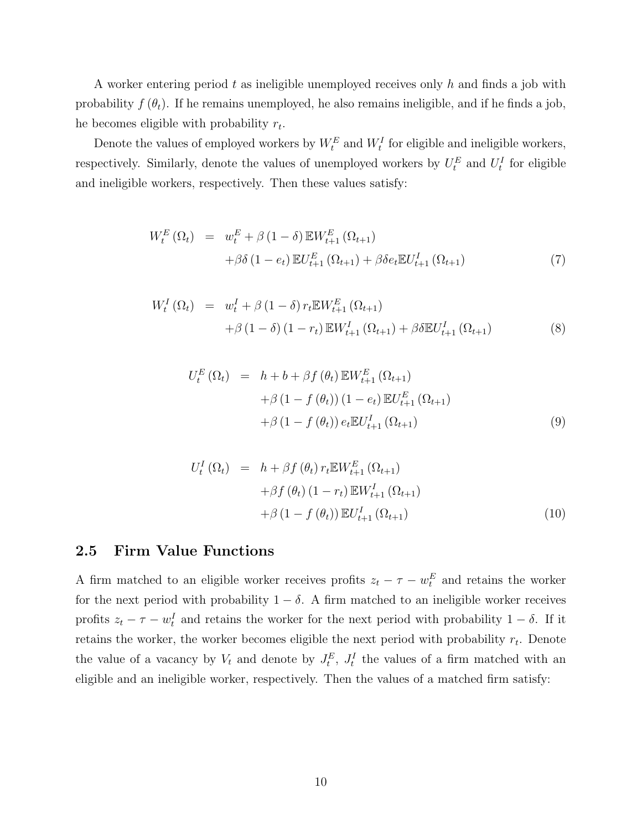A worker entering period *t* as ineligible unemployed receives only *h* and finds a job with probability  $f(\theta_t)$ . If he remains unemployed, he also remains ineligible, and if he finds a job, he becomes eligible with probability *rt*.

Denote the values of employed workers by  $W_t^E$  and  $W_t^I$  for eligible and ineligible workers, respectively. Similarly, denote the values of unemployed workers by  $U_t^E$  and  $U_t^I$  for eligible and ineligible workers, respectively. Then these values satisfy:

<span id="page-9-0"></span>
$$
W_{t}^{E} (\Omega_{t}) = w_{t}^{E} + \beta (1 - \delta) \mathbb{E} W_{t+1}^{E} (\Omega_{t+1}) + \beta \delta (1 - e_{t}) \mathbb{E} U_{t+1}^{E} (\Omega_{t+1}) + \beta \delta e_{t} \mathbb{E} U_{t+1}^{I} (\Omega_{t+1})
$$
\n(7)

$$
W_t^I (\Omega_t) = w_t^I + \beta (1 - \delta) r_t \mathbb{E} W_{t+1}^E (\Omega_{t+1}) + \beta (1 - \delta) (1 - r_t) \mathbb{E} W_{t+1}^I (\Omega_{t+1}) + \beta \delta \mathbb{E} U_{t+1}^I (\Omega_{t+1})
$$
(8)

$$
U_t^E(\Omega_t) = h + b + \beta f(\theta_t) \mathbb{E} W_{t+1}^E(\Omega_{t+1})
$$
  
+  $\beta (1 - f(\theta_t)) (1 - e_t) \mathbb{E} U_{t+1}^E(\Omega_{t+1})$   
+  $\beta (1 - f(\theta_t)) e_t \mathbb{E} U_{t+1}^I(\Omega_{t+1})$  (9)

$$
U_t^I(\Omega_t) = h + \beta f(\theta_t) r_t \mathbb{E} W_{t+1}^E(\Omega_{t+1})
$$
  
+ 
$$
\beta f(\theta_t) (1 - r_t) \mathbb{E} W_{t+1}^I(\Omega_{t+1})
$$
  
+ 
$$
\beta (1 - f(\theta_t)) \mathbb{E} U_{t+1}^I(\Omega_{t+1})
$$
 (10)

#### 2.5 Firm Value Functions

A firm matched to an eligible worker receives profits  $z_t - \tau - w_t^E$  and retains the worker for the next period with probability  $1 - \delta$ . A firm matched to an ineligible worker receives profits  $z_t - \tau - w_t^I$  and retains the worker for the next period with probability  $1 - \delta$ . If it retains the worker, the worker becomes eligible the next period with probability *rt*. Denote the value of a vacancy by  $V_t$  and denote by  $J_t^E$ ,  $J_t^I$  the values of a firm matched with an eligible and an ineligible worker, respectively. Then the values of a matched firm satisfy: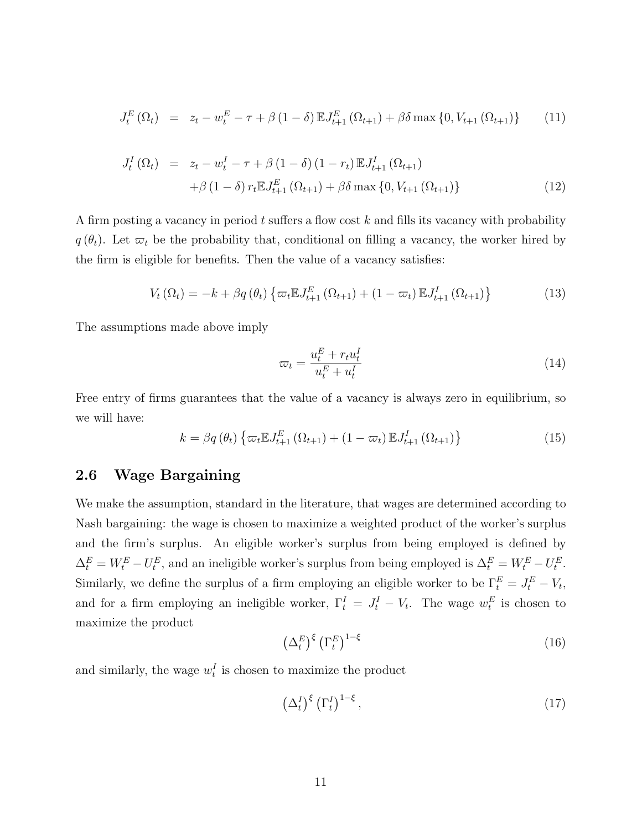$$
J_t^E(\Omega_t) = z_t - w_t^E - \tau + \beta (1 - \delta) \mathbb{E} J_{t+1}^E(\Omega_{t+1}) + \beta \delta \max\{0, V_{t+1}(\Omega_{t+1})\} \tag{11}
$$

$$
J_t^I(\Omega_t) = z_t - w_t^I - \tau + \beta (1 - \delta) (1 - r_t) \mathbb{E} J_{t+1}^I(\Omega_{t+1})
$$
  
+  $\beta (1 - \delta) r_t \mathbb{E} J_{t+1}^E(\Omega_{t+1}) + \beta \delta \max \{0, V_{t+1}(\Omega_{t+1})\}$  (12)

A firm posting a vacancy in period t suffers a flow cost k and fills its vacancy with probability  $q(\theta_t)$ . Let  $\varpi_t$  be the probability that, conditional on filling a vacancy, the worker hired by the firm is eligible for benefits. Then the value of a vacancy satisfies:

<span id="page-10-2"></span>
$$
V_t(\Omega_t) = -k + \beta q(\theta_t) \left\{ \varpi_t \mathbb{E} J_{t+1}^E \left( \Omega_{t+1} \right) + (1 - \varpi_t) \mathbb{E} J_{t+1}^I \left( \Omega_{t+1} \right) \right\}
$$
(13)

The assumptions made above imply

$$
\varpi_t = \frac{u_t^E + r_t u_t^I}{u_t^E + u_t^I} \tag{14}
$$

Free entry of firms guarantees that the value of a vacancy is always zero in equilibrium, so we will have:

<span id="page-10-3"></span>
$$
k = \beta q(\theta_t) \left\{ \varpi_t \mathbb{E} J_{t+1}^E (\Omega_{t+1}) + (1 - \varpi_t) \mathbb{E} J_{t+1}^I (\Omega_{t+1}) \right\}
$$
(15)

#### 2.6 Wage Bargaining

We make the assumption, standard in the literature, that wages are determined according to Nash bargaining: the wage is chosen to maximize a weighted product of the worker's surplus and the firm's surplus. An eligible worker's surplus from being employed is defined by  $\Delta_t^E = W_t^E - U_t^E$ , and an ineligible worker's surplus from being employed is  $\Delta_t^E = W_t^E - U_t^E$ . Similarly, we define the surplus of a firm employing an eligible worker to be  $\Gamma_t^E = J_t^E - V_t$ , and for a firm employing an ineligible worker,  $\Gamma_t^I = J_t^I - V_t$ . The wage  $w_t^E$  is chosen to maximize the product

<span id="page-10-0"></span>
$$
\left(\Delta_t^E\right)^{\xi} \left(\Gamma_t^E\right)^{1-\xi} \tag{16}
$$

and similarly, the wage  $w_t^I$  is chosen to maximize the product

<span id="page-10-1"></span>
$$
\left(\Delta_t^I\right)^{\xi} \left(\Gamma_t^I\right)^{1-\xi},\tag{17}
$$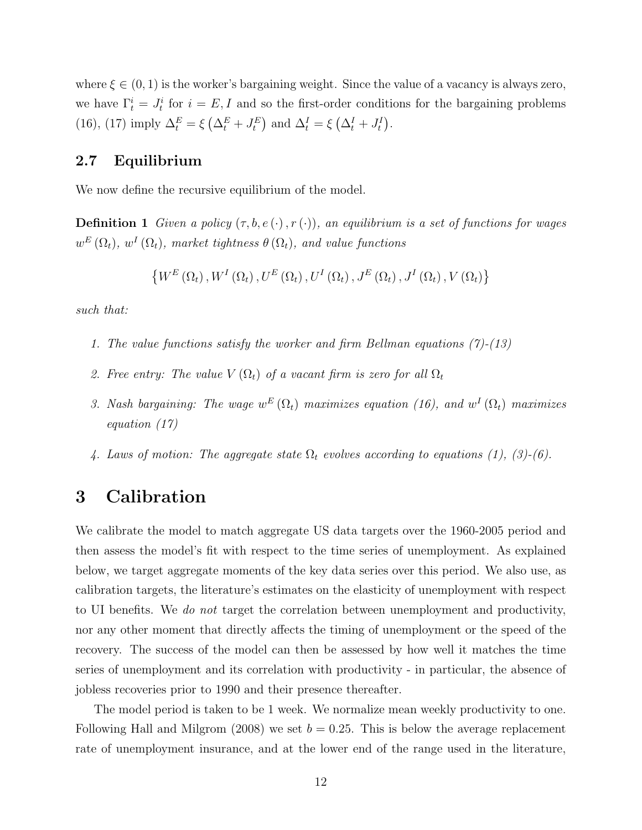where  $\xi \in (0,1)$  is the worker's bargaining weight. Since the value of a vacancy is always zero, we have  $\Gamma_t^i = J_t^i$  for  $i = E, I$  and so the first-order conditions for the bargaining problems [\(16\)](#page-10-0), [\(17\)](#page-10-1) imply  $\Delta_t^E = \xi \left( \Delta_t^E + J_t^E \right)$  and  $\Delta_t^I = \xi \left( \Delta_t^I + J_t^I \right)$ .

### 2.7 Equilibrium

We now define the recursive equilibrium of the model.

**Definition 1** *Given a policy*  $(\tau, b, e(\cdot), r(\cdot))$ *, an equilibrium is a set of functions for wages*  $w^E(\Omega_t)$ ,  $w^I(\Omega_t)$ , market tightness  $\theta(\Omega_t)$ , and value functions

$$
\left\{W^{E}\left(\Omega_{t}\right),W^{I}\left(\Omega_{t}\right),U^{E}\left(\Omega_{t}\right),U^{I}\left(\Omega_{t}\right),J^{E}\left(\Omega_{t}\right),J^{I}\left(\Omega_{t}\right),V\left(\Omega_{t}\right)\right\}
$$

*such that:*

- *1. The value functions satisfy the worker and firm Bellman equations [\(7\)](#page-9-0)-[\(13\)](#page-10-2)*
- 2. Free entry: The value  $V(\Omega_t)$  of a vacant firm is zero for all  $\Omega_t$
- *3. Nash bargaining:* The wage  $w^E(\Omega_t)$  *maximizes equation [\(16\)](#page-10-0), and*  $w^I(\Omega_t)$  *maximizes equation [\(17\)](#page-10-1)*
- *4. Laws of motion: The aggregate state*  $\Omega_t$  *evolves according to equations [\(1\)](#page-6-0), [\(3\)](#page-8-0)-[\(6\)](#page-8-0).*

### <span id="page-11-0"></span>3 Calibration

We calibrate the model to match aggregate US data targets over the 1960-2005 period and then assess the model's fit with respect to the time series of unemployment. As explained below, we target aggregate moments of the key data series over this period. We also use, as calibration targets, the literature's estimates on the elasticity of unemployment with respect to UI benefits. We *do not* target the correlation between unemployment and productivity, nor any other moment that directly affects the timing of unemployment or the speed of the recovery. The success of the model can then be assessed by how well it matches the time series of unemployment and its correlation with productivity - in particular, the absence of jobless recoveries prior to 1990 and their presence thereafter.

The model period is taken to be 1 week. We normalize mean weekly productivity to one. Following [Hall and Milgrom](#page-26-11) [\(2008\)](#page-26-11) we set  $b = 0.25$ . This is below the average replacement rate of unemployment insurance, and at the lower end of the range used in the literature,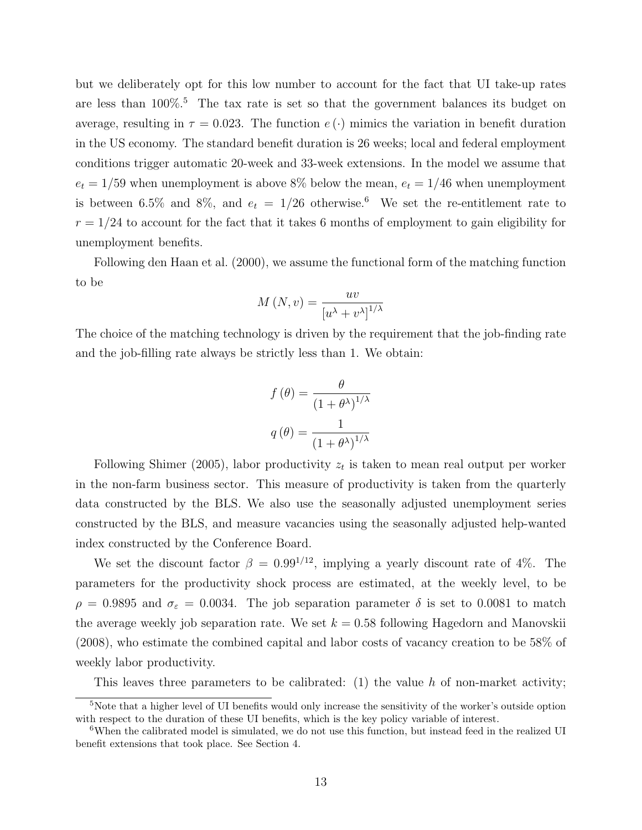but we deliberately opt for this low number to account for the fact that UI take-up rates are less than  $100\%$ <sup>[5](#page-0-0)</sup>. The tax rate is set so that the government balances its budget on average, resulting in  $\tau = 0.023$ . The function  $e(\cdot)$  mimics the variation in benefit duration in the US economy. The standard benefit duration is 26 weeks; local and federal employment conditions trigger automatic 20-week and 33-week extensions. In the model we assume that  $e_t = 1/59$  when unemployment is above 8% below the mean,  $e_t = 1/46$  when unemployment is between [6](#page-0-0).5% and 8%, and  $e_t = 1/26$  otherwise.<sup>6</sup> We set the re-entitlement rate to  $r = 1/24$  to account for the fact that it takes 6 months of employment to gain eligibility for unemployment benefits.

Following [den Haan et al.](#page-25-5) [\(2000\)](#page-25-5), we assume the functional form of the matching function to be

$$
M\left(N,v\right) = \frac{uv}{\left[u^{\lambda} + v^{\lambda}\right]^{1/\lambda}}
$$

The choice of the matching technology is driven by the requirement that the job-finding rate and the job-filling rate always be strictly less than 1. We obtain:

$$
f(\theta) = \frac{\theta}{(1 + \theta^{\lambda})^{1/\lambda}}
$$

$$
q(\theta) = \frac{1}{(1 + \theta^{\lambda})^{1/\lambda}}
$$

Following [Shimer](#page-27-5) [\(2005\)](#page-27-5), labor productivity *z<sup>t</sup>* is taken to mean real output per worker in the non-farm business sector. This measure of productivity is taken from the quarterly data constructed by the BLS. We also use the seasonally adjusted unemployment series constructed by the BLS, and measure vacancies using the seasonally adjusted help-wanted index constructed by the Conference Board.

We set the discount factor  $\beta = 0.99^{1/12}$ , implying a yearly discount rate of 4%. The parameters for the productivity shock process are estimated, at the weekly level, to be  $\rho = 0.9895$  and  $\sigma_{\varepsilon} = 0.0034$ . The job separation parameter  $\delta$  is set to 0.0081 to match the average weekly job separation rate. We set  $k = 0.58$  following [Hagedorn and Manovskii](#page-26-8) [\(2008\)](#page-26-8), who estimate the combined capital and labor costs of vacancy creation to be 58% of weekly labor productivity.

This leaves three parameters to be calibrated: (1) the value *h* of non-market activity;

<sup>&</sup>lt;sup>5</sup>Note that a higher level of UI benefits would only increase the sensitivity of the worker's outside option with respect to the duration of these UI benefits, which is the key policy variable of interest.

<sup>&</sup>lt;sup>6</sup>When the calibrated model is simulated, we do not use this function, but instead feed in the realized UI benefit extensions that took place. See Section [4.](#page-13-0)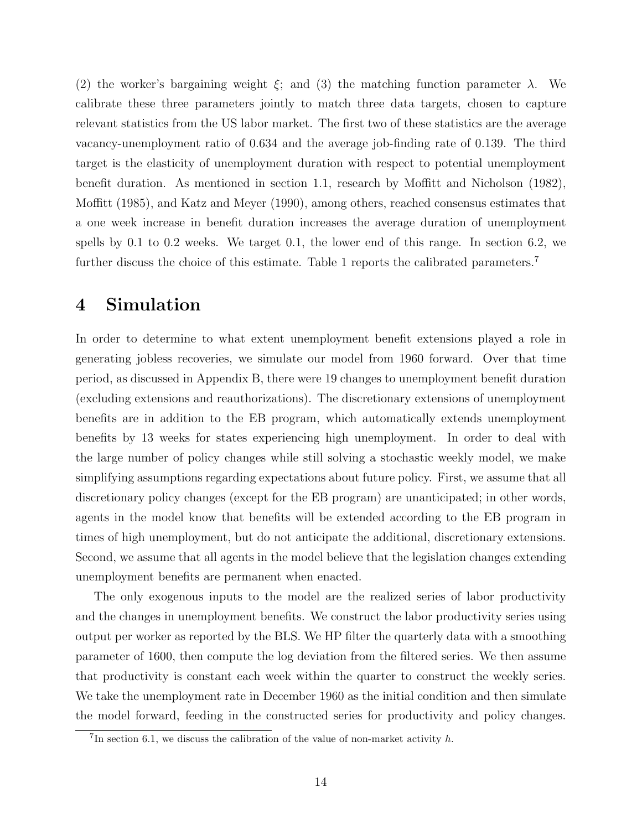(2) the worker's bargaining weight  $\xi$ ; and (3) the matching function parameter  $\lambda$ . We calibrate these three parameters jointly to match three data targets, chosen to capture relevant statistics from the US labor market. The first two of these statistics are the average vacancy-unemployment ratio of 0.634 and the average job-finding rate of 0.139. The third target is the elasticity of unemployment duration with respect to potential unemployment benefit duration. As mentioned in section [1.1,](#page-3-0) research by Moffi[tt and Nicholson](#page-27-2)  $(1982)$ , [Mo](#page-26-0)ffitt [\(1985\)](#page-26-0), and [Katz and Meyer](#page-26-1) [\(1990\)](#page-26-1), among others, reached consensus estimates that a one week increase in benefit duration increases the average duration of unemployment spells by 0.1 to 0.2 weeks. We target 0.1, the lower end of this range. In section [6.2,](#page-20-0) we further discuss the choice of this estimate. Table [1](#page-28-1) reports the calibrated parameters.<sup>[7](#page-0-0)</sup>

### <span id="page-13-0"></span>4 Simulation

In order to determine to what extent unemployment benefit extensions played a role in generating jobless recoveries, we simulate our model from 1960 forward. Over that time period, as discussed in Appendix [B,](#page-41-0) there were 19 changes to unemployment benefit duration (excluding extensions and reauthorizations). The discretionary extensions of unemployment benefits are in addition to the EB program, which automatically extends unemployment benefits by 13 weeks for states experiencing high unemployment. In order to deal with the large number of policy changes while still solving a stochastic weekly model, we make simplifying assumptions regarding expectations about future policy. First, we assume that all discretionary policy changes (except for the EB program) are unanticipated; in other words, agents in the model know that benefits will be extended according to the EB program in times of high unemployment, but do not anticipate the additional, discretionary extensions. Second, we assume that all agents in the model believe that the legislation changes extending unemployment benefits are permanent when enacted.

The only exogenous inputs to the model are the realized series of labor productivity and the changes in unemployment benefits. We construct the labor productivity series using output per worker as reported by the BLS. We HP filter the quarterly data with a smoothing parameter of 1600, then compute the log deviation from the filtered series. We then assume that productivity is constant each week within the quarter to construct the weekly series. We take the unemployment rate in December 1960 as the initial condition and then simulate the model forward, feeding in the constructed series for productivity and policy changes.

 ${}^{7}$ In section [6.1,](#page-18-1) we discuss the calibration of the value of non-market activity *h*.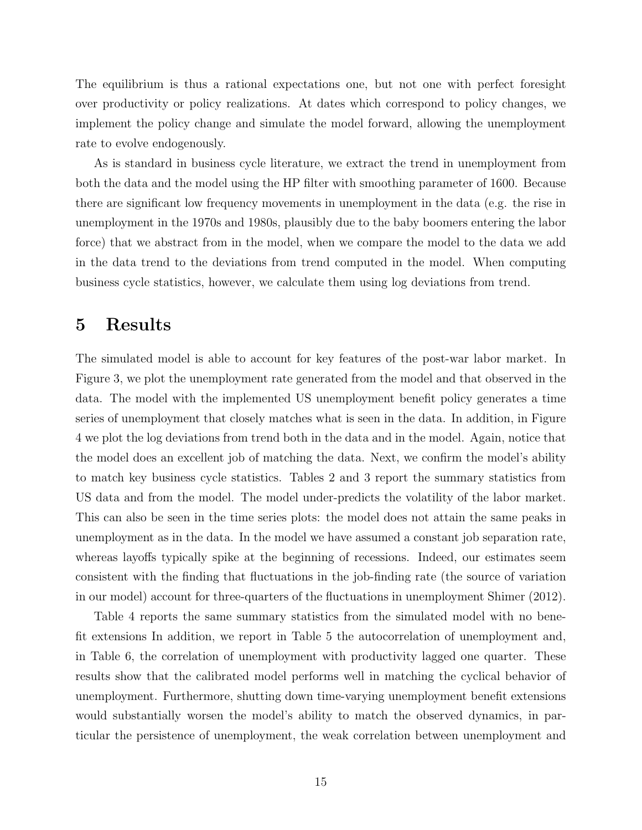The equilibrium is thus a rational expectations one, but not one with perfect foresight over productivity or policy realizations. At dates which correspond to policy changes, we implement the policy change and simulate the model forward, allowing the unemployment rate to evolve endogenously.

As is standard in business cycle literature, we extract the trend in unemployment from both the data and the model using the HP filter with smoothing parameter of 1600. Because there are significant low frequency movements in unemployment in the data (e.g. the rise in unemployment in the 1970s and 1980s, plausibly due to the baby boomers entering the labor force) that we abstract from in the model, when we compare the model to the data we add in the data trend to the deviations from trend computed in the model. When computing business cycle statistics, however, we calculate them using log deviations from trend.

### <span id="page-14-0"></span>5 Results

The simulated model is able to account for key features of the post-war labor market. In Figure [3,](#page-32-0) we plot the unemployment rate generated from the model and that observed in the data. The model with the implemented US unemployment benefit policy generates a time series of unemployment that closely matches what is seen in the data. In addition, in Figure [4](#page-33-0) we plot the log deviations from trend both in the data and in the model. Again, notice that the model does an excellent job of matching the data. Next, we confirm the model's ability to match key business cycle statistics. Tables [2](#page-28-2) and [3](#page-28-3) report the summary statistics from US data and from the model. The model under-predicts the volatility of the labor market. This can also be seen in the time series plots: the model does not attain the same peaks in unemployment as in the data. In the model we have assumed a constant job separation rate, whereas layoffs typically spike at the beginning of recessions. Indeed, our estimates seem consistent with the finding that fluctuations in the job-finding rate (the source of variation in our model) account for three-quarters of the fluctuations in unemployment [Shimer](#page-27-6) [\(2012\)](#page-27-6).

Table [4](#page-29-0) reports the same summary statistics from the simulated model with no benefit extensions In addition, we report in Table [5](#page-29-1) the autocorrelation of unemployment and, in Table [6,](#page-29-2) the correlation of unemployment with productivity lagged one quarter. These results show that the calibrated model performs well in matching the cyclical behavior of unemployment. Furthermore, shutting down time-varying unemployment benefit extensions would substantially worsen the model's ability to match the observed dynamics, in particular the persistence of unemployment, the weak correlation between unemployment and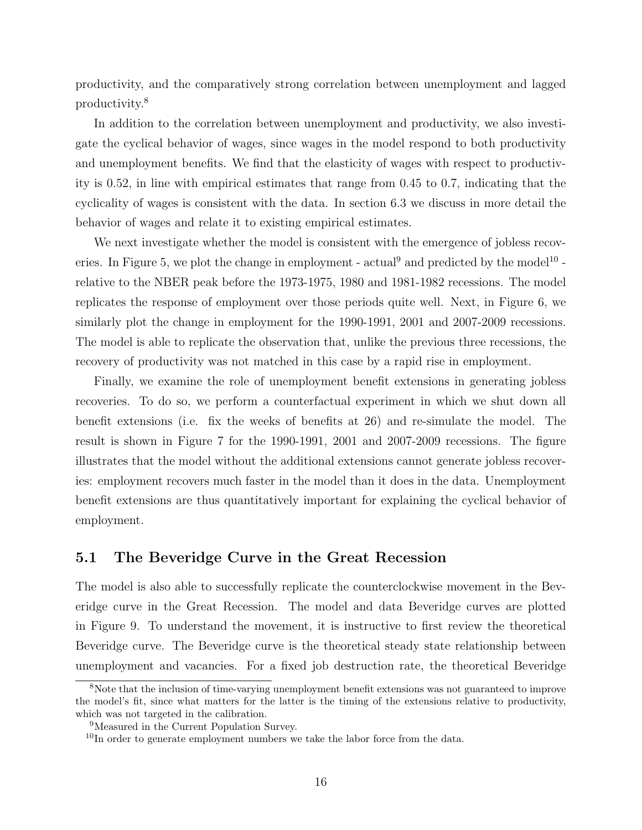productivity, and the comparatively strong correlation between unemployment and lagged productivity.[8](#page-0-0)

In addition to the correlation between unemployment and productivity, we also investigate the cyclical behavior of wages, since wages in the model respond to both productivity and unemployment benefits. We find that the elasticity of wages with respect to productivity is 0.52, in line with empirical estimates that range from 0.45 to 0.7, indicating that the cyclicality of wages is consistent with the data. In section [6.3](#page-21-0) we discuss in more detail the behavior of wages and relate it to existing empirical estimates.

We next investigate whether the model is consistent with the emergence of jobless recov-eries. In Figure [5,](#page-34-0) we plot the change in employment - actual<sup>[9](#page-0-0)</sup> and predicted by the model<sup>[10](#page-0-0)</sup> relative to the NBER peak before the 1973-1975, 1980 and 1981-1982 recessions. The model replicates the response of employment over those periods quite well. Next, in Figure [6,](#page-35-0) we similarly plot the change in employment for the 1990-1991, 2001 and 2007-2009 recessions. The model is able to replicate the observation that, unlike the previous three recessions, the recovery of productivity was not matched in this case by a rapid rise in employment.

Finally, we examine the role of unemployment benefit extensions in generating jobless recoveries. To do so, we perform a counterfactual experiment in which we shut down all benefit extensions (i.e. fix the weeks of benefits at 26) and re-simulate the model. The result is shown in Figure [7](#page-36-0) for the 1990-1991, 2001 and 2007-2009 recessions. The figure illustrates that the model without the additional extensions cannot generate jobless recoveries: employment recovers much faster in the model than it does in the data. Unemployment benefit extensions are thus quantitatively important for explaining the cyclical behavior of employment.

### 5.1 The Beveridge Curve in the Great Recession

The model is also able to successfully replicate the counterclockwise movement in the Beveridge curve in the Great Recession. The model and data Beveridge curves are plotted in Figure [9.](#page-38-0) To understand the movement, it is instructive to first review the theoretical Beveridge curve. The Beveridge curve is the theoretical steady state relationship between unemployment and vacancies. For a fixed job destruction rate, the theoretical Beveridge

<sup>8</sup>Note that the inclusion of time-varying unemployment benefit extensions was not guaranteed to improve the model's fit, since what matters for the latter is the timing of the extensions relative to productivity, which was not targeted in the calibration.

<sup>9</sup>Measured in the Current Population Survey.

<sup>&</sup>lt;sup>10</sup>In order to generate employment numbers we take the labor force from the data.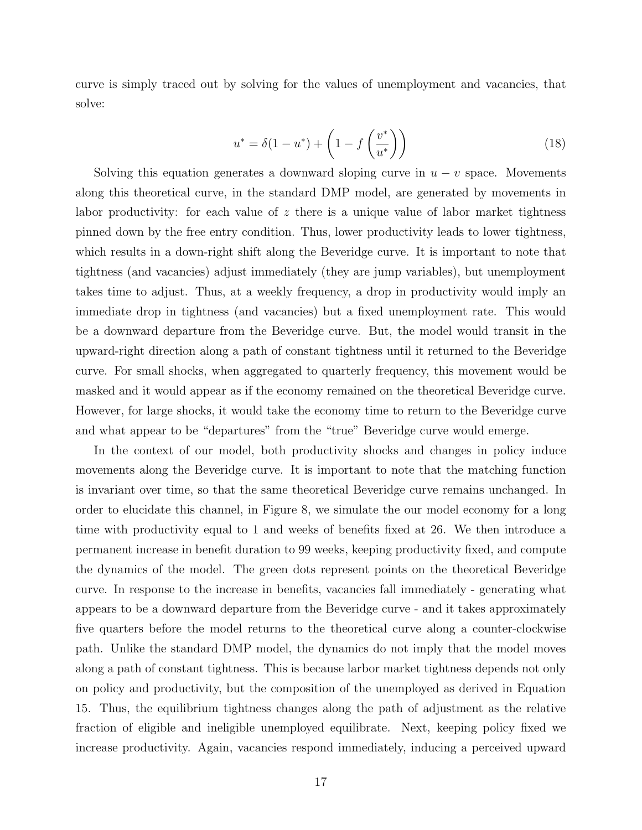curve is simply traced out by solving for the values of unemployment and vacancies, that solve:

$$
u^* = \delta(1 - u^*) + \left(1 - f\left(\frac{v^*}{u^*}\right)\right) \tag{18}
$$

Solving this equation generates a downward sloping curve in  $u - v$  space. Movements along this theoretical curve, in the standard DMP model, are generated by movements in labor productivity: for each value of *z* there is a unique value of labor market tightness pinned down by the free entry condition. Thus, lower productivity leads to lower tightness, which results in a down-right shift along the Beveridge curve. It is important to note that tightness (and vacancies) adjust immediately (they are jump variables), but unemployment takes time to adjust. Thus, at a weekly frequency, a drop in productivity would imply an immediate drop in tightness (and vacancies) but a fixed unemployment rate. This would be a downward departure from the Beveridge curve. But, the model would transit in the upward-right direction along a path of constant tightness until it returned to the Beveridge curve. For small shocks, when aggregated to quarterly frequency, this movement would be masked and it would appear as if the economy remained on the theoretical Beveridge curve. However, for large shocks, it would take the economy time to return to the Beveridge curve and what appear to be "departures" from the "true" Beveridge curve would emerge.

In the context of our model, both productivity shocks and changes in policy induce movements along the Beveridge curve. It is important to note that the matching function is invariant over time, so that the same theoretical Beveridge curve remains unchanged. In order to elucidate this channel, in Figure [8,](#page-37-0) we simulate the our model economy for a long time with productivity equal to 1 and weeks of benefits fixed at 26. We then introduce a permanent increase in benefit duration to 99 weeks, keeping productivity fixed, and compute the dynamics of the model. The green dots represent points on the theoretical Beveridge curve. In response to the increase in benefits, vacancies fall immediately - generating what appears to be a downward departure from the Beveridge curve - and it takes approximately five quarters before the model returns to the theoretical curve along a counter-clockwise path. Unlike the standard DMP model, the dynamics do not imply that the model moves along a path of constant tightness. This is because larbor market tightness depends not only on policy and productivity, but the composition of the unemployed as derived in Equation [15.](#page-10-3) Thus, the equilibrium tightness changes along the path of adjustment as the relative fraction of eligible and ineligible unemployed equilibrate. Next, keeping policy fixed we increase productivity. Again, vacancies respond immediately, inducing a perceived upward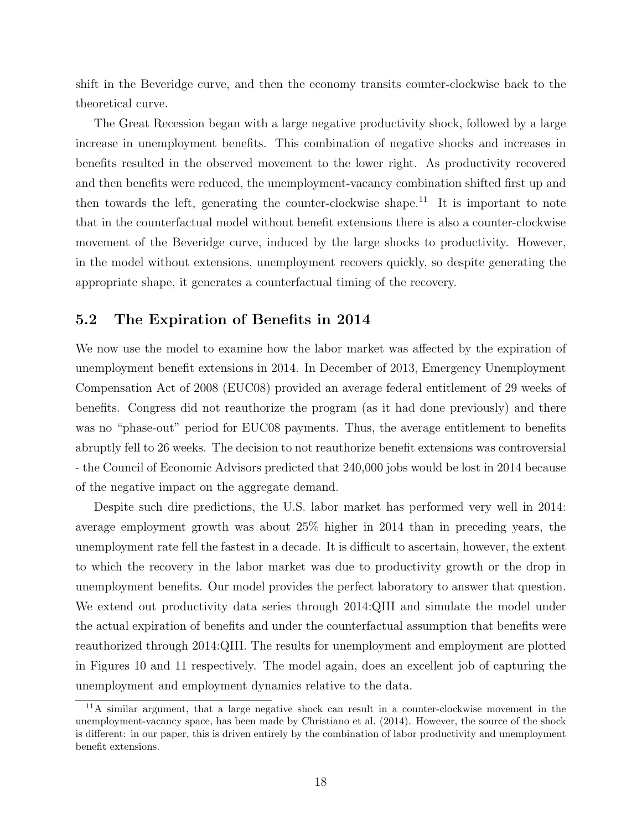shift in the Beveridge curve, and then the economy transits counter-clockwise back to the theoretical curve.

The Great Recession began with a large negative productivity shock, followed by a large increase in unemployment benefits. This combination of negative shocks and increases in benefits resulted in the observed movement to the lower right. As productivity recovered and then benefits were reduced, the unemployment-vacancy combination shifted first up and then towards the left, generating the counter-clockwise shape.<sup>[11](#page-0-0)</sup> It is important to note that in the counterfactual model without benefit extensions there is also a counter-clockwise movement of the Beveridge curve, induced by the large shocks to productivity. However, in the model without extensions, unemployment recovers quickly, so despite generating the appropriate shape, it generates a counterfactual timing of the recovery.

### 5.2 The Expiration of Benefits in 2014

We now use the model to examine how the labor market was affected by the expiration of unemployment benefit extensions in 2014. In December of 2013, Emergency Unemployment Compensation Act of 2008 (EUC08) provided an average federal entitlement of 29 weeks of benefits. Congress did not reauthorize the program (as it had done previously) and there was no "phase-out" period for EUC08 payments. Thus, the average entitlement to benefits abruptly fell to 26 weeks. The decision to not reauthorize benefit extensions was controversial - the Council of Economic Advisors predicted that 240,000 jobs would be lost in 2014 because of the negative impact on the aggregate demand.

Despite such dire predictions, the U.S. labor market has performed very well in 2014: average employment growth was about 25% higher in 2014 than in preceding years, the unemployment rate fell the fastest in a decade. It is difficult to ascertain, however, the extent to which the recovery in the labor market was due to productivity growth or the drop in unemployment benefits. Our model provides the perfect laboratory to answer that question. We extend out productivity data series through 2014:QIII and simulate the model under the actual expiration of benefits and under the counterfactual assumption that benefits were reauthorized through 2014:QIII. The results for unemployment and employment are plotted in Figures [10](#page-39-0) and [11](#page-40-0) respectively. The model again, does an excellent job of capturing the unemployment and employment dynamics relative to the data.

<sup>11</sup>A similar argument, that a large negative shock can result in a counter-clockwise movement in the unemployment-vacancy space, has been made by [Christiano et al.](#page-25-6) [\(2014\)](#page-25-6). However, the source of the shock is different: in our paper, this is driven entirely by the combination of labor productivity and unemployment benefit extensions.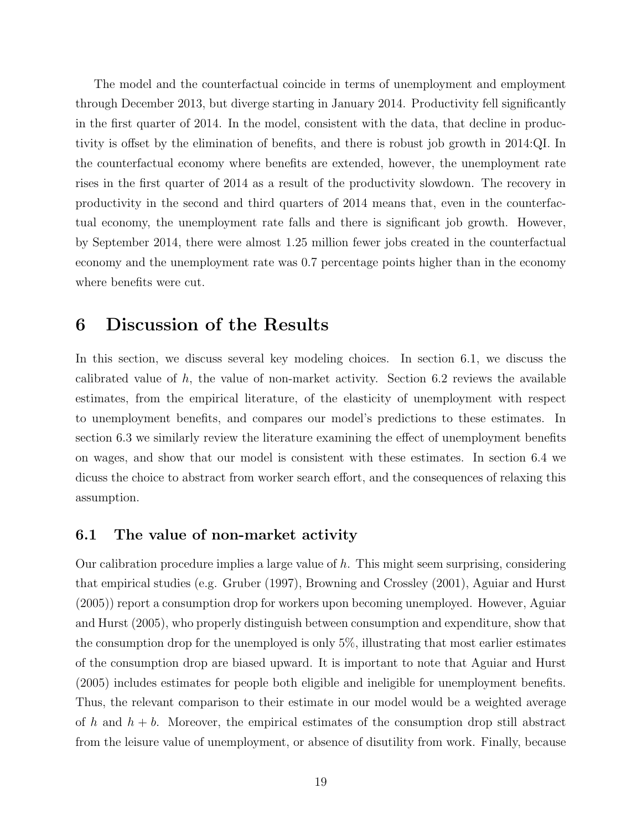The model and the counterfactual coincide in terms of unemployment and employment through December 2013, but diverge starting in January 2014. Productivity fell significantly in the first quarter of 2014. In the model, consistent with the data, that decline in productivity is offset by the elimination of benefits, and there is robust job growth in 2014:QI. In the counterfactual economy where benefits are extended, however, the unemployment rate rises in the first quarter of 2014 as a result of the productivity slowdown. The recovery in productivity in the second and third quarters of 2014 means that, even in the counterfactual economy, the unemployment rate falls and there is significant job growth. However, by September 2014, there were almost 1.25 million fewer jobs created in the counterfactual economy and the unemployment rate was 0.7 percentage points higher than in the economy where benefits were cut.

### <span id="page-18-0"></span>6 Discussion of the Results

In this section, we discuss several key modeling choices. In section [6.1,](#page-18-1) we discuss the calibrated value of *h*, the value of non-market activity. Section [6.2](#page-20-0) reviews the available estimates, from the empirical literature, of the elasticity of unemployment with respect to unemployment benefits, and compares our model's predictions to these estimates. In section [6.3](#page-21-0) we similarly review the literature examining the effect of unemployment benefits on wages, and show that our model is consistent with these estimates. In section [6.4](#page-22-0) we dicuss the choice to abstract from worker search effort, and the consequences of relaxing this assumption.

### <span id="page-18-1"></span>6.1 The value of non-market activity

Our calibration procedure implies a large value of *h*. This might seem surprising, considering that empirical studies (e.g. [Gruber](#page-26-12) [\(1997\)](#page-26-12), [Browning and Crossley](#page-25-7) [\(2001\)](#page-25-7), [Aguiar and Hurst](#page-25-8) [\(2005\)](#page-25-8)) report a consumption drop for workers upon becoming unemployed. However, [Aguiar](#page-25-8) [and Hurst](#page-25-8) [\(2005\)](#page-25-8), who properly distinguish between consumption and expenditure, show that the consumption drop for the unemployed is only 5%, illustrating that most earlier estimates of the consumption drop are biased upward. It is important to note that [Aguiar and Hurst](#page-25-8) [\(2005\)](#page-25-8) includes estimates for people both eligible and ineligible for unemployment benefits. Thus, the relevant comparison to their estimate in our model would be a weighted average of  $h$  and  $h + b$ . Moreover, the empirical estimates of the consumption drop still abstract from the leisure value of unemployment, or absence of disutility from work. Finally, because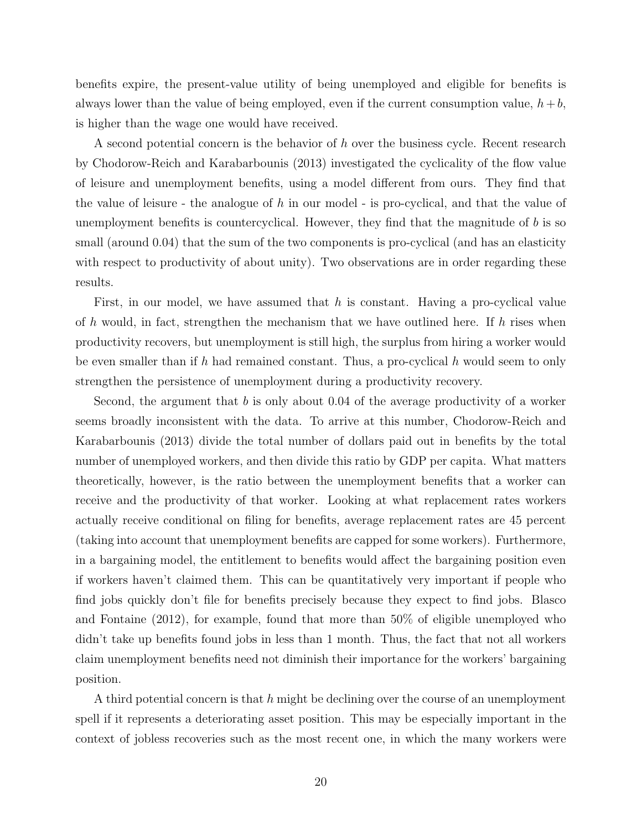benefits expire, the present-value utility of being unemployed and eligible for benefits is always lower than the value of being employed, even if the current consumption value,  $h + b$ , is higher than the wage one would have received.

A second potential concern is the behavior of *h* over the business cycle. Recent research by [Chodorow-Reich and Karabarbounis](#page-25-9) [\(2013\)](#page-25-9) investigated the cyclicality of the flow value of leisure and unemployment benefits, using a model different from ours. They find that the value of leisure - the analogue of *h* in our model - is pro-cyclical, and that the value of unemployment benefits is countercyclical. However, they find that the magnitude of *b* is so small (around 0.04) that the sum of the two components is pro-cyclical (and has an elasticity with respect to productivity of about unity). Two observations are in order regarding these results.

First, in our model, we have assumed that *h* is constant. Having a pro-cyclical value of *h* would, in fact, strengthen the mechanism that we have outlined here. If *h* rises when productivity recovers, but unemployment is still high, the surplus from hiring a worker would be even smaller than if *h* had remained constant. Thus, a pro-cyclical *h* would seem to only strengthen the persistence of unemployment during a productivity recovery.

Second, the argument that *b* is only about 0.04 of the average productivity of a worker seems broadly inconsistent with the data. To arrive at this number, [Chodorow-Reich and](#page-25-9) [Karabarbounis](#page-25-9) [\(2013\)](#page-25-9) divide the total number of dollars paid out in benefits by the total number of unemployed workers, and then divide this ratio by GDP per capita. What matters theoretically, however, is the ratio between the unemployment benefits that a worker can receive and the productivity of that worker. Looking at what replacement rates workers actually receive conditional on filing for benefits, average replacement rates are 45 percent (taking into account that unemployment benefits are capped for some workers). Furthermore, in a bargaining model, the entitlement to benefits would affect the bargaining position even if workers haven't claimed them. This can be quantitatively very important if people who find jobs quickly don't file for benefits precisely because they expect to find jobs. [Blasco](#page-25-10) [and Fontaine](#page-25-10) [\(2012\)](#page-25-10), for example, found that more than 50% of eligible unemployed who didn't take up benefits found jobs in less than 1 month. Thus, the fact that not all workers claim unemployment benefits need not diminish their importance for the workers' bargaining position.

A third potential concern is that *h* might be declining over the course of an unemployment spell if it represents a deteriorating asset position. This may be especially important in the context of jobless recoveries such as the most recent one, in which the many workers were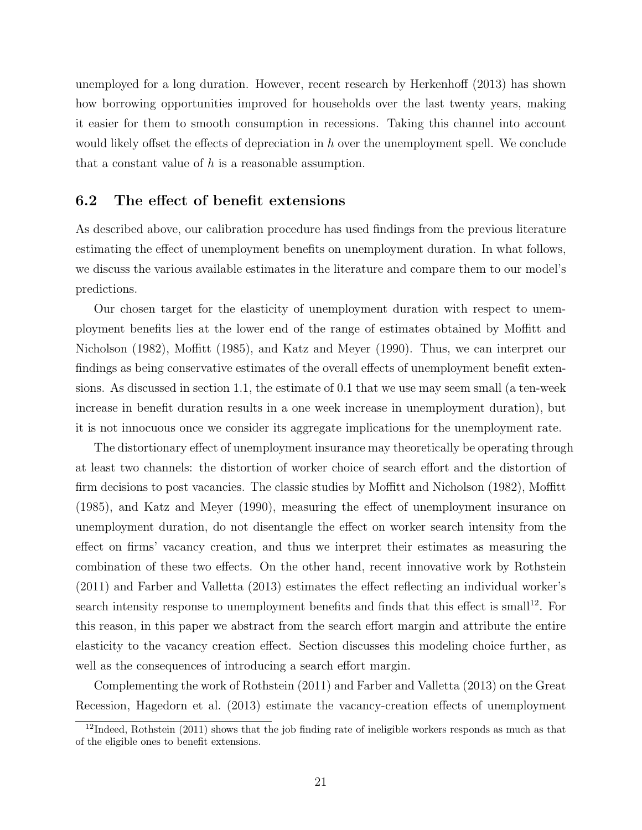unemployed for a long duration. However, recent research by [Herkenho](#page-26-6)ff  $(2013)$  has shown how borrowing opportunities improved for households over the last twenty years, making it easier for them to smooth consumption in recessions. Taking this channel into account would likely offset the effects of depreciation in *h* over the unemployment spell. We conclude that a constant value of *h* is a reasonable assumption.

#### <span id="page-20-0"></span>6.2 The effect of benefit extensions

As described above, our calibration procedure has used findings from the previous literature estimating the effect of unemployment benefits on unemployment duration. In what follows, we discuss the various available estimates in the literature and compare them to our model's predictions.

Our chosen target for the elasticity of unemployment duration with respect to unemployment benefits lies at the lower end of the range of estimates obtained by Moffi[tt and](#page-27-2) [Nicholson](#page-27-2) [\(1982\)](#page-27-2), [Mo](#page-26-0)ffitt [\(1985\)](#page-26-0), and [Katz and Meyer](#page-26-1) [\(1990\)](#page-26-1). Thus, we can interpret our findings as being conservative estimates of the overall effects of unemployment benefit extensions. As discussed in section [1.1,](#page-3-0) the estimate of 0.1 that we use may seem small (a ten-week increase in benefit duration results in a one week increase in unemployment duration), but it is not innocuous once we consider its aggregate implications for the unemployment rate.

The distortionary effect of unemployment insurance may theoretically be operating through at least two channels: the distortion of worker choice of search effort and the distortion of firm decisions to post vacancies. The classic studies by Moffi[tt and Nicholson](#page-27-2) [\(1982\)](#page-27-2), [Mo](#page-26-0)ffitt  $(1985)$ , and [Katz and Meyer](#page-26-1)  $(1990)$ , measuring the effect of unemployment insurance on unemployment duration, do not disentangle the effect on worker search intensity from the effect on firms' vacancy creation, and thus we interpret their estimates as measuring the combination of these two effects. On the other hand, recent innovative work by [Rothstein](#page-27-7)  $(2011)$  and [Farber and Valletta](#page-25-11)  $(2013)$  estimates the effect reflecting an individual worker's search intensity response to unemployment benefits and finds that this effect is small<sup>[12](#page-0-0)</sup>. For this reason, in this paper we abstract from the search effort margin and attribute the entire elasticity to the vacancy creation effect. Section discusses this modeling choice further, as well as the consequences of introducing a search effort margin.

Complementing the work of [Rothstein](#page-27-7) [\(2011\)](#page-27-7) and [Farber and Valletta](#page-25-11) [\(2013\)](#page-25-11) on the Great Recession, [Hagedorn et al.](#page-26-13) [\(2013\)](#page-26-13) estimate the vacancy-creation effects of unemployment

 $12$ Indeed, [Rothstein](#page-27-7) [\(2011\)](#page-27-7) shows that the job finding rate of ineligible workers responds as much as that of the eligible ones to benefit extensions.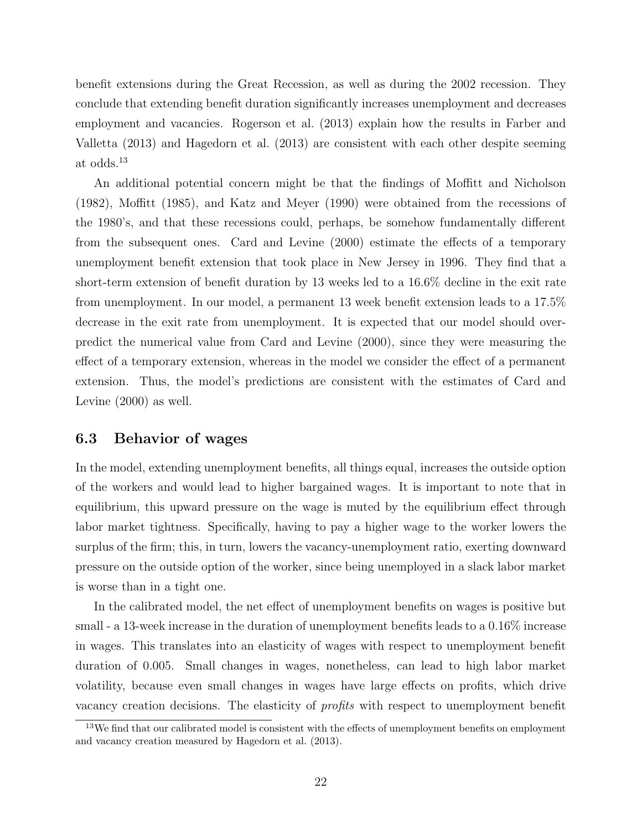benefit extensions during the Great Recession, as well as during the 2002 recession. They conclude that extending benefit duration significantly increases unemployment and decreases employment and vacancies. [Rogerson et al.](#page-27-8) [\(2013\)](#page-27-8) explain how the results in [Farber and](#page-25-11) [Valletta](#page-25-11) [\(2013\)](#page-25-11) and [Hagedorn et al.](#page-26-13) [\(2013\)](#page-26-13) are consistent with each other despite seeming at odds.[13](#page-0-0)

An additional potential concern might be that the findings of Moffi[tt and Nicholson](#page-27-2)  $(1982)$ , [Mo](#page-26-0)ffitt  $(1985)$ , and [Katz and Meyer](#page-26-1)  $(1990)$  were obtained from the recessions of the 1980's, and that these recessions could, perhaps, be somehow fundamentally different from the subsequent ones. [Card and Levine](#page-25-12)  $(2000)$  estimate the effects of a temporary unemployment benefit extension that took place in New Jersey in 1996. They find that a short-term extension of benefit duration by 13 weeks led to a 16.6% decline in the exit rate from unemployment. In our model, a permanent 13 week benefit extension leads to a 17.5% decrease in the exit rate from unemployment. It is expected that our model should overpredict the numerical value from [Card and Levine](#page-25-12) [\(2000\)](#page-25-12), since they were measuring the effect of a temporary extension, whereas in the model we consider the effect of a permanent extension. Thus, the model's predictions are consistent with the estimates of [Card and](#page-25-12) [Levine](#page-25-12) [\(2000\)](#page-25-12) as well.

### <span id="page-21-0"></span>6.3 Behavior of wages

In the model, extending unemployment benefits, all things equal, increases the outside option of the workers and would lead to higher bargained wages. It is important to note that in equilibrium, this upward pressure on the wage is muted by the equilibrium effect through labor market tightness. Specifically, having to pay a higher wage to the worker lowers the surplus of the firm; this, in turn, lowers the vacancy-unemployment ratio, exerting downward pressure on the outside option of the worker, since being unemployed in a slack labor market is worse than in a tight one.

In the calibrated model, the net effect of unemployment benefits on wages is positive but small - a 13-week increase in the duration of unemployment benefits leads to a 0.16% increase in wages. This translates into an elasticity of wages with respect to unemployment benefit duration of 0.005. Small changes in wages, nonetheless, can lead to high labor market volatility, because even small changes in wages have large effects on profits, which drive vacancy creation decisions. The elasticity of *profits* with respect to unemployment benefit

<sup>&</sup>lt;sup>13</sup>We find that our calibrated model is consistent with the effects of unemployment benefits on employment and vacancy creation measured by [Hagedorn et al.](#page-26-13) [\(2013\)](#page-26-13).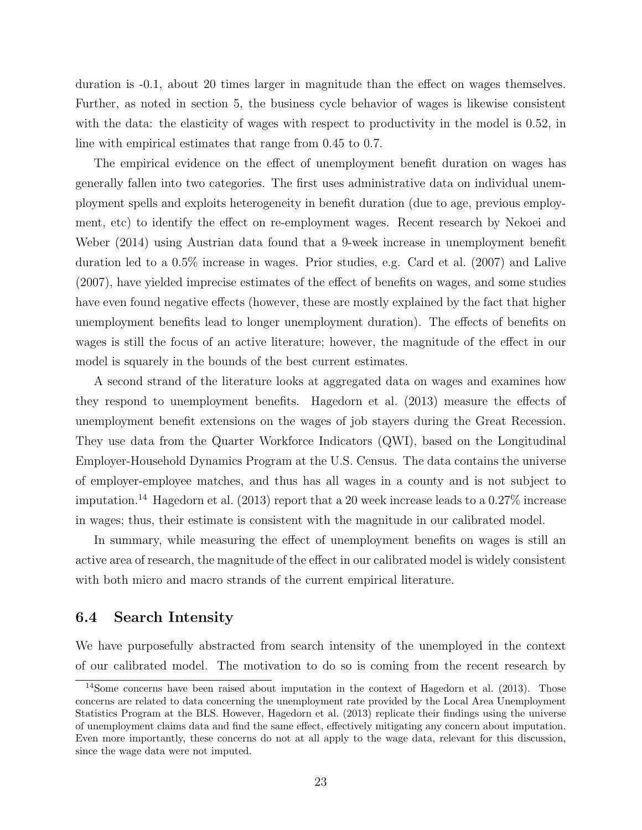duration is  $-0.1$ , about 20 times larger in magnitude than the effect on wages themselves. Further, as noted in section [5,](#page-14-0) the business cycle behavior of wages is likewise consistent with the data: the elasticity of wages with respect to productivity in the model is 0.52, in line with empirical estimates that range from 0.45 to 0.7.

The empirical evidence on the effect of unemployment benefit duration on wages has generally fallen into two categories. The first uses administrative data on individual unemployment spells and exploits heterogeneity in benefit duration (due to age, previous employ-ment, etc) to identify the effect on re-employment wages. Recent research by [Nekoei and](#page-27-9) [Weber](#page-27-9) [\(2014\)](#page-27-9) using Austrian data found that a 9-week increase in unemployment benefit duration led to a 0.5% increase in wages. Prior studies, e.g. [Card et al.](#page-25-13) [\(2007\)](#page-25-13) and [Lalive](#page-26-14)  $(2007)$ , have yielded imprecise estimates of the effect of benefits on wages, and some studies have even found negative effects (however, these are mostly explained by the fact that higher unemployment benefits lead to longer unemployment duration). The effects of benefits on wages is still the focus of an active literature; however, the magnitude of the effect in our model is squarely in the bounds of the best current estimates.

A second strand of the literature looks at aggregated data on wages and examines how they respond to unemployment benefits. [Hagedorn et al.](#page-26-13)  $(2013)$  measure the effects of unemployment benefit extensions on the wages of job stayers during the Great Recession. They use data from the Quarter Workforce Indicators (QWI), based on the Longitudinal Employer-Household Dynamics Program at the U.S. Census. The data contains the universe of employer-employee matches, and thus has all wages in a county and is not subject to imputation.<sup>[14](#page-0-0)</sup> [Hagedorn et al.](#page-26-13) [\(2013\)](#page-26-13) report that a 20 week increase leads to a 0.27% increase in wages; thus, their estimate is consistent with the magnitude in our calibrated model.

In summary, while measuring the effect of unemployment benefits on wages is still an active area of research, the magnitude of the effect in our calibrated model is widely consistent with both micro and macro strands of the current empirical literature.

#### <span id="page-22-0"></span>6.4 Search Intensity

We have purposefully abstracted from search intensity of the unemployed in the context of our calibrated model. The motivation to do so is coming from the recent research by

<sup>&</sup>lt;sup>14</sup>Some concerns have been raised about imputation in the context of [Hagedorn et al.](#page-26-13) [\(2013\)](#page-26-13). Those concerns are related to data concerning the unemployment rate provided by the Local Area Unemployment Statistics Program at the BLS. However, [Hagedorn et al.](#page-26-13) [\(2013\)](#page-26-13) replicate their findings using the universe of unemployment claims data and find the same effect, effectively mitigating any concern about imputation. Even more importantly, these concerns do not at all apply to the wage data, relevant for this discussion, since the wage data were not imputed.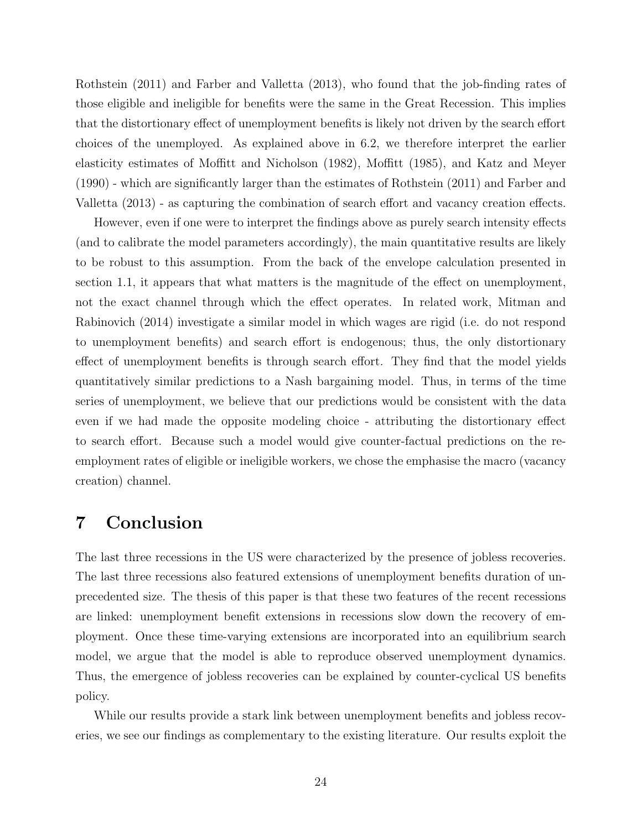[Rothstein](#page-27-7) [\(2011\)](#page-27-7) and [Farber and Valletta](#page-25-11) [\(2013\)](#page-25-11), who found that the job-finding rates of those eligible and ineligible for benefits were the same in the Great Recession. This implies that the distortionary effect of unemployment benefits is likely not driven by the search effort choices of the unemployed. As explained above in [6.2,](#page-20-0) we therefore interpret the earlier elasticity estimates of Moffi[tt and Nicholson](#page-27-2) [\(1982\)](#page-27-2), [Mo](#page-26-0)ffitt [\(1985\)](#page-26-0), and [Katz and Meyer](#page-26-1) [\(1990\)](#page-26-1) - which are significantly larger than the estimates of [Rothstein](#page-27-7) [\(2011\)](#page-27-7) and [Farber and](#page-25-11) [Valletta](#page-25-11)  $(2013)$  - as capturing the combination of search effort and vacancy creation effects.

However, even if one were to interpret the findings above as purely search intensity effects (and to calibrate the model parameters accordingly), the main quantitative results are likely to be robust to this assumption. From the back of the envelope calculation presented in section [1.1,](#page-3-0) it appears that what matters is the magnitude of the effect on unemployment, not the exact channel through which the effect operates. In related work, [Mitman and](#page-26-15) [Rabinovich](#page-26-15) [\(2014\)](#page-26-15) investigate a similar model in which wages are rigid (i.e. do not respond to unemployment benefits) and search effort is endogenous; thus, the only distortionary effect of unemployment benefits is through search effort. They find that the model yields quantitatively similar predictions to a Nash bargaining model. Thus, in terms of the time series of unemployment, we believe that our predictions would be consistent with the data even if we had made the opposite modeling choice - attributing the distortionary effect to search effort. Because such a model would give counter-factual predictions on the reemployment rates of eligible or ineligible workers, we chose the emphasise the macro (vacancy creation) channel.

### <span id="page-23-0"></span>7 Conclusion

The last three recessions in the US were characterized by the presence of jobless recoveries. The last three recessions also featured extensions of unemployment benefits duration of unprecedented size. The thesis of this paper is that these two features of the recent recessions are linked: unemployment benefit extensions in recessions slow down the recovery of employment. Once these time-varying extensions are incorporated into an equilibrium search model, we argue that the model is able to reproduce observed unemployment dynamics. Thus, the emergence of jobless recoveries can be explained by counter-cyclical US benefits policy.

While our results provide a stark link between unemployment benefits and jobless recoveries, we see our findings as complementary to the existing literature. Our results exploit the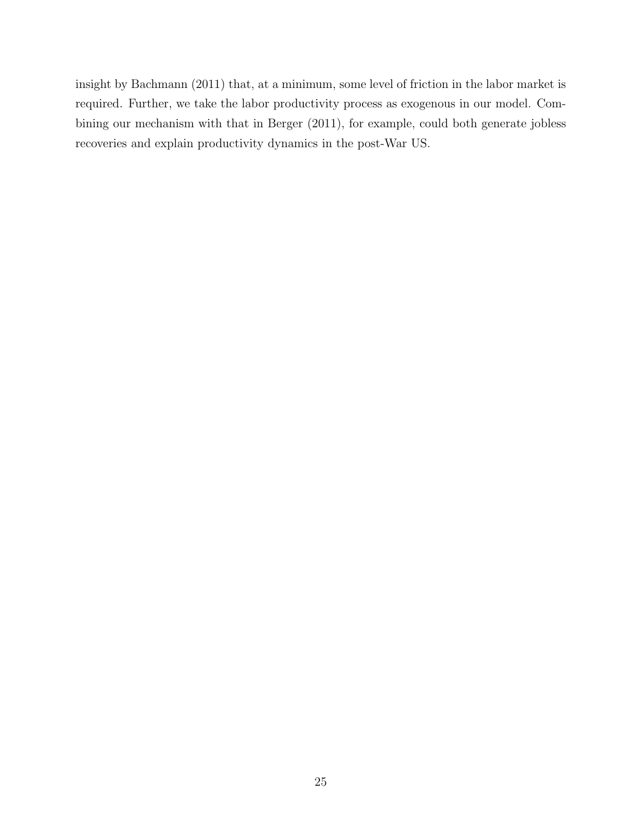insight by [Bachmann](#page-25-1) [\(2011\)](#page-25-1) that, at a minimum, some level of friction in the labor market is required. Further, we take the labor productivity process as exogenous in our model. Combining our mechanism with that in [Berger](#page-25-2) [\(2011\)](#page-25-2), for example, could both generate jobless recoveries and explain productivity dynamics in the post-War US.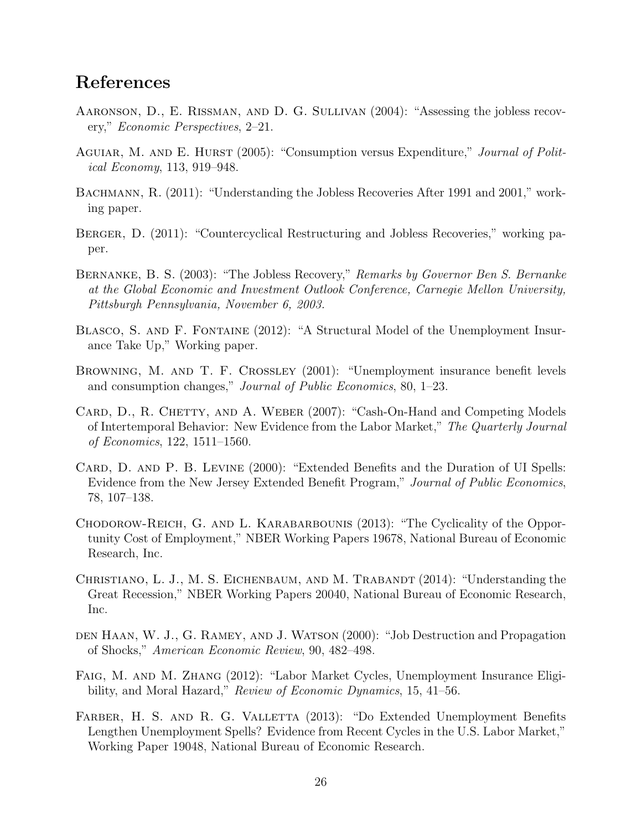### References

- <span id="page-25-3"></span>Aaronson, D., E. Rissman, and D. G. Sullivan (2004): "Assessing the jobless recovery," *Economic Perspectives*, 2–21.
- <span id="page-25-8"></span>Aguiar, M. and E. Hurst (2005): "Consumption versus Expenditure," *Journal of Political Economy*, 113, 919–948.
- <span id="page-25-1"></span>BACHMANN, R. (2011): "Understanding the Jobless Recoveries After 1991 and 2001," working paper.
- <span id="page-25-2"></span>BERGER, D. (2011): "Countercyclical Restructuring and Jobless Recoveries," working paper.
- <span id="page-25-0"></span>Bernanke, B. S. (2003): "The Jobless Recovery," *Remarks by Governor Ben S. Bernanke at the Global Economic and Investment Outlook Conference, Carnegie Mellon University, Pittsburgh Pennsylvania, November 6, 2003.*
- <span id="page-25-10"></span>BLASCO, S. AND F. FONTAINE (2012): "A Structural Model of the Unemployment Insurance Take Up," Working paper.
- <span id="page-25-7"></span>Browning, M. and T. F. Crossley (2001): "Unemployment insurance benefit levels and consumption changes," *Journal of Public Economics*, 80, 1–23.
- <span id="page-25-13"></span>CARD, D., R. CHETTY, AND A. WEBER (2007): "Cash-On-Hand and Competing Models of Intertemporal Behavior: New Evidence from the Labor Market," *The Quarterly Journal of Economics*, 122, 1511–1560.
- <span id="page-25-12"></span>CARD, D. AND P. B. LEVINE (2000): "Extended Benefits and the Duration of UI Spells: Evidence from the New Jersey Extended Benefit Program," *Journal of Public Economics*, 78, 107–138.
- <span id="page-25-9"></span>Chodorow-Reich, G. and L. Karabarbounis (2013): "The Cyclicality of the Opportunity Cost of Employment," NBER Working Papers 19678, National Bureau of Economic Research, Inc.
- <span id="page-25-6"></span>CHRISTIANO, L. J., M. S. EICHENBAUM, AND M. TRABANDT (2014): "Understanding the Great Recession," NBER Working Papers 20040, National Bureau of Economic Research, Inc.
- <span id="page-25-5"></span>den Haan, W. J., G. Ramey, and J. Watson (2000): "Job Destruction and Propagation of Shocks," *American Economic Review*, 90, 482–498.
- <span id="page-25-4"></span>Faig, M. and M. Zhang (2012): "Labor Market Cycles, Unemployment Insurance Eligibility, and Moral Hazard," *Review of Economic Dynamics*, 15, 41–56.
- <span id="page-25-11"></span>FARBER, H. S. AND R. G. VALLETTA (2013): "Do Extended Unemployment Benefits Lengthen Unemployment Spells? Evidence from Recent Cycles in the U.S. Labor Market," Working Paper 19048, National Bureau of Economic Research.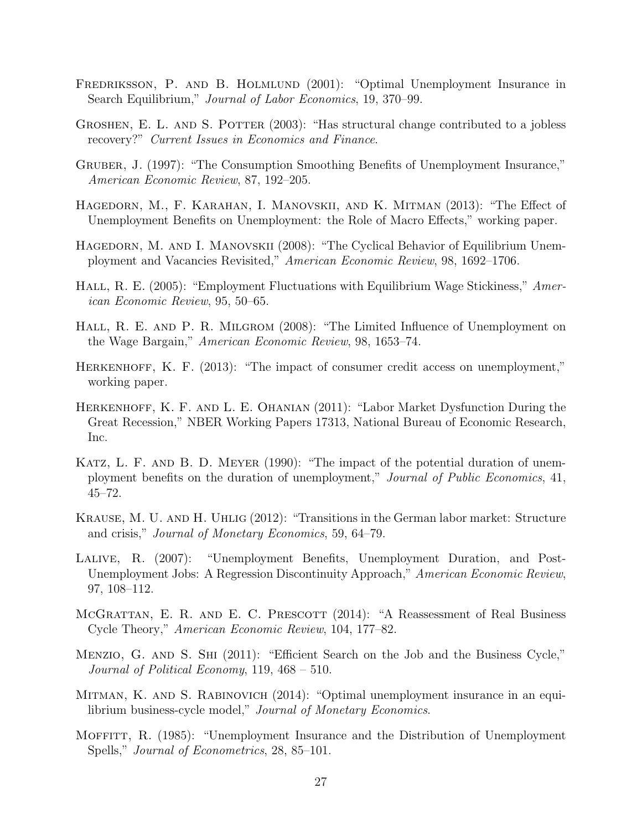- <span id="page-26-10"></span>FREDRIKSSON, P. AND B. HOLMLUND (2001): "Optimal Unemployment Insurance in Search Equilibrium," *Journal of Labor Economics*, 19, 370–99.
- <span id="page-26-4"></span>GROSHEN, E. L. AND S. POTTER (2003): "Has structural change contributed to a jobless recovery?" *Current Issues in Economics and Finance*.
- <span id="page-26-12"></span>Gruber, J. (1997): "The Consumption Smoothing Benefits of Unemployment Insurance," *American Economic Review*, 87, 192–205.
- <span id="page-26-13"></span>HAGEDORN, M., F. KARAHAN, I. MANOVSKII, AND K. MITMAN (2013): "The Effect of Unemployment Benefits on Unemployment: the Role of Macro Effects," working paper.
- <span id="page-26-8"></span>HAGEDORN, M. AND I. MANOVSKII (2008): "The Cyclical Behavior of Equilibrium Unemployment and Vacancies Revisited," *American Economic Review*, 98, 1692–1706.
- <span id="page-26-7"></span>HALL, R. E. (2005): "Employment Fluctuations with Equilibrium Wage Stickiness," *American Economic Review*, 95, 50–65.
- <span id="page-26-11"></span>HALL, R. E. AND P. R. MILGROM (2008): "The Limited Influence of Unemployment on the Wage Bargain," *American Economic Review*, 98, 1653–74.
- <span id="page-26-6"></span>Herkenhoff, K. F. (2013): "The impact of consumer credit access on unemployment," working paper.
- <span id="page-26-2"></span>Herkenhoff, K. F. and L. E. Ohanian (2011): "Labor Market Dysfunction During the Great Recession," NBER Working Papers 17313, National Bureau of Economic Research, Inc.
- <span id="page-26-1"></span>KATZ, L. F. AND B. D. MEYER (1990): "The impact of the potential duration of unemployment benefits on the duration of unemployment," *Journal of Public Economics*, 41, 45–72.
- <span id="page-26-3"></span>Krause, M. U. and H. Uhlig (2012): "Transitions in the German labor market: Structure and crisis," *Journal of Monetary Economics*, 59, 64–79.
- <span id="page-26-14"></span>Lalive, R. (2007): "Unemployment Benefits, Unemployment Duration, and Post-Unemployment Jobs: A Regression Discontinuity Approach," *American Economic Review*, 97, 108–112.
- <span id="page-26-5"></span>MCGRATTAN, E. R. AND E. C. PRESCOTT (2014): "A Reassessment of Real Business Cycle Theory," *American Economic Review*, 104, 177–82.
- <span id="page-26-9"></span>MENZIO, G. AND S. SHI (2011): "Efficient Search on the Job and the Business Cycle," *Journal of Political Economy*, 119, 468 – 510.
- <span id="page-26-15"></span>MITMAN, K. AND S. RABINOVICH (2014): "Optimal unemployment insurance in an equilibrium business-cycle model," *Journal of Monetary Economics*.
- <span id="page-26-0"></span>Moffitt, R. (1985): "Unemployment Insurance and the Distribution of Unemployment Spells," *Journal of Econometrics*, 28, 85–101.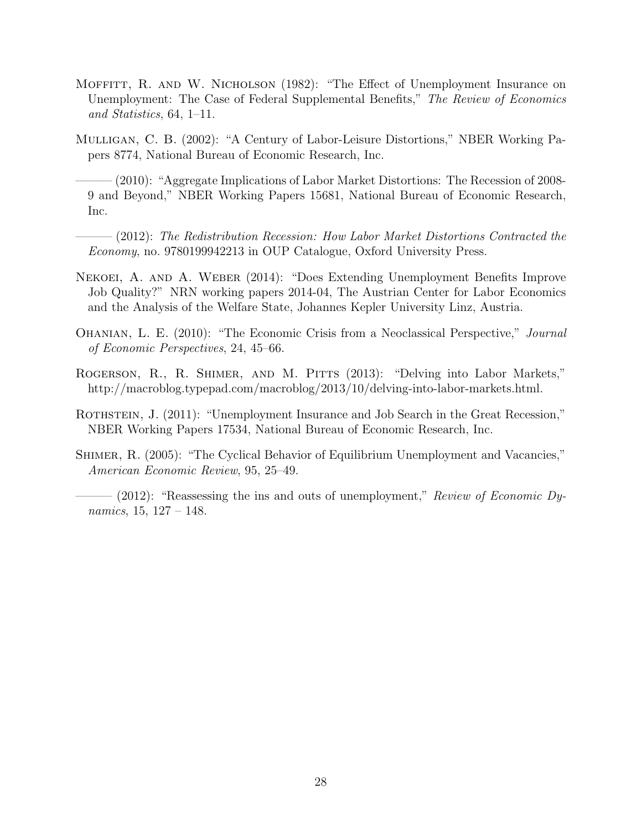- <span id="page-27-2"></span>MOFFITT, R. AND W. NICHOLSON (1982): "The Effect of Unemployment Insurance on Unemployment: The Case of Federal Supplemental Benefits," *The Review of Economics and Statistics*, 64, 1–11.
- <span id="page-27-3"></span>Mulligan, C. B. (2002): "A Century of Labor-Leisure Distortions," NBER Working Papers 8774, National Bureau of Economic Research, Inc.
- <span id="page-27-0"></span>——— (2010): "Aggregate Implications of Labor Market Distortions: The Recession of 2008- 9 and Beyond," NBER Working Papers 15681, National Bureau of Economic Research, Inc.
- <span id="page-27-4"></span>——— (2012): *The Redistribution Recession: How Labor Market Distortions Contracted the Economy*, no. 9780199942213 in OUP Catalogue, Oxford University Press.
- <span id="page-27-9"></span>Nekoei, A. and A. Weber (2014): "Does Extending Unemployment Benefits Improve Job Quality?" NRN working papers 2014-04, The Austrian Center for Labor Economics and the Analysis of the Welfare State, Johannes Kepler University Linz, Austria.
- <span id="page-27-1"></span>Ohanian, L. E. (2010): "The Economic Crisis from a Neoclassical Perspective," *Journal of Economic Perspectives*, 24, 45–66.
- <span id="page-27-8"></span>ROGERSON, R., R. SHIMER, AND M. PITTS (2013): "Delving into Labor Markets," http://macroblog.typepad.com/macroblog/2013/10/delving-into-labor-markets.html.
- <span id="page-27-7"></span>ROTHSTEIN, J. (2011): "Unemployment Insurance and Job Search in the Great Recession," NBER Working Papers 17534, National Bureau of Economic Research, Inc.
- <span id="page-27-5"></span>Shimer, R. (2005): "The Cyclical Behavior of Equilibrium Unemployment and Vacancies," *American Economic Review*, 95, 25–49.
- <span id="page-27-6"></span>- (2012): "Reassessing the ins and outs of unemployment," *Review of Economic Dynamics*, 15, 127 – 148.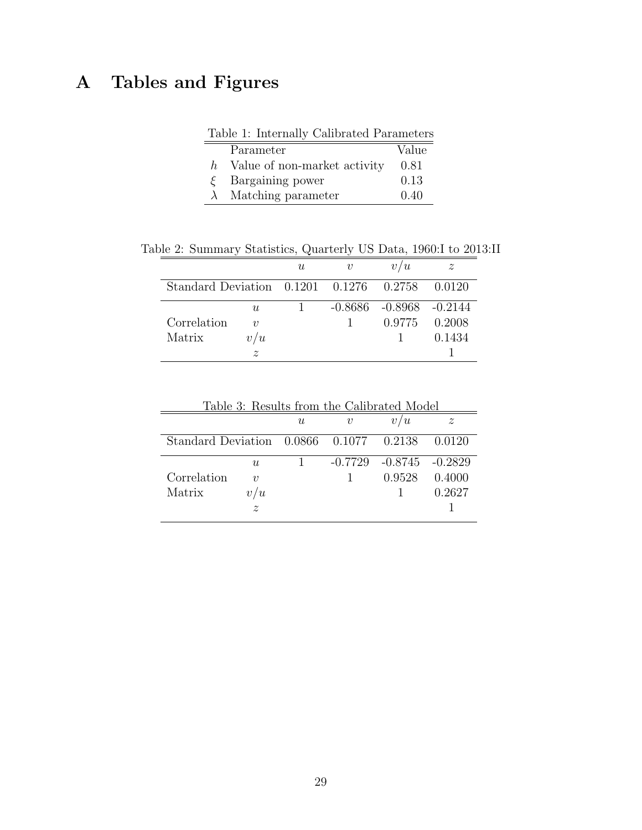## <span id="page-28-0"></span>A Tables and Figures

<span id="page-28-1"></span>

| Table 1: Internally Calibrated Parameters |                              |       |  |  |  |  |
|-------------------------------------------|------------------------------|-------|--|--|--|--|
|                                           | Parameter                    | Value |  |  |  |  |
| $h_{-}$                                   | Value of non-market activity | 0.81  |  |  |  |  |
|                                           | $\xi$ Bargaining power       | 0.13  |  |  |  |  |
|                                           | $\lambda$ Matching parameter | 0.40  |  |  |  |  |

Table 2: Summary Statistics, Quarterly US Data, 1960:I to 2013:II

<span id="page-28-2"></span>

|                                           |                    | $\boldsymbol{\mathit{u}}$ | $\boldsymbol{v}$ | / U                           | $\tilde{z}$ |
|-------------------------------------------|--------------------|---------------------------|------------------|-------------------------------|-------------|
| $Standard Deviation$ 0.1201 0.1276 0.2758 |                    |                           |                  |                               | 0.0120      |
|                                           | U                  |                           |                  | $-0.8686$ $-0.8968$ $-0.2144$ |             |
| Correlation                               | $\eta$             |                           |                  | 0.9775                        | 0.2008      |
| Matrix                                    | / $\boldsymbol{u}$ |                           |                  |                               | 0.1434      |
|                                           | z                  |                           |                  |                               |             |

<span id="page-28-3"></span>

| Table 3: Results from the Calibrated Model |                    |   |                     |                               |                  |
|--------------------------------------------|--------------------|---|---------------------|-------------------------------|------------------|
|                                            |                    | U | $\boldsymbol{\eta}$ | v/u                           | $\boldsymbol{z}$ |
| $Standard Deviation$ 0.0866 0.1077 0.2138  |                    |   |                     |                               | 0.0120           |
|                                            | U                  |   |                     | $-0.7729$ $-0.8745$ $-0.2829$ |                  |
| Correlation                                | $\boldsymbol{v}$   |   |                     | 0.9528                        | 0.4000           |
| Matrix                                     | / $\boldsymbol{u}$ |   |                     |                               | 0.2627           |
|                                            | $\tilde{z}$        |   |                     |                               |                  |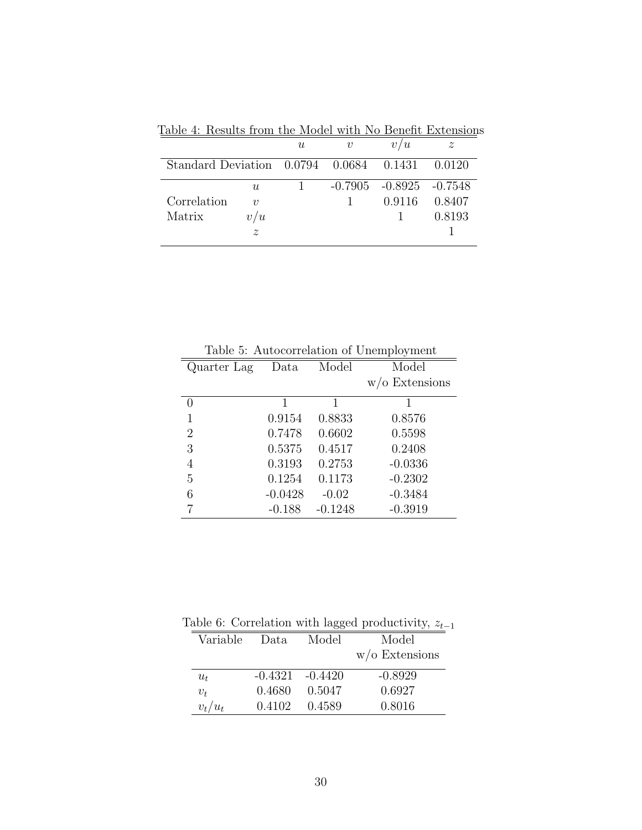<span id="page-29-0"></span>

|                                           |                  | $\boldsymbol{u}$ | v | u<br>v                        | $\boldsymbol{z}$ |
|-------------------------------------------|------------------|------------------|---|-------------------------------|------------------|
| $Standard Deviation$ 0.0794 0.0684 0.1431 |                  |                  |   |                               | 0.0120           |
|                                           | $\boldsymbol{u}$ |                  |   | $-0.7905$ $-0.8925$ $-0.7548$ |                  |
| Correlation                               | $\boldsymbol{v}$ |                  |   | 0.9116                        | 0.8407           |
| Matrix                                    | $^\prime u$      |                  |   |                               | 0.8193           |
|                                           | $\tilde{z}$      |                  |   |                               |                  |

Table 4: Results from the Model with No Benefit Extensions

| Table 5: Autocorrelation of Unemployment |           |           |                   |  |  |  |  |
|------------------------------------------|-----------|-----------|-------------------|--|--|--|--|
| Quarter Lag                              | Data      | Model     | Model             |  |  |  |  |
|                                          |           |           | $w$ /o Extensions |  |  |  |  |
| $\left( \right)$                         | 1         | 1         |                   |  |  |  |  |
| 1                                        | 0.9154    | 0.8833    | 0.8576            |  |  |  |  |
| 2                                        | 0.7478    | 0.6602    | 0.5598            |  |  |  |  |
| 3                                        | 0.5375    | 0.4517    | 0.2408            |  |  |  |  |
| 4                                        | 0.3193    | 0.2753    | $-0.0336$         |  |  |  |  |
| 5                                        | 0.1254    | 0.1173    | $-0.2302$         |  |  |  |  |
| 6                                        | $-0.0428$ | $-0.02$   | $-0.3484$         |  |  |  |  |
|                                          | $-0.188$  | $-0.1248$ | $-0.3919$         |  |  |  |  |

<span id="page-29-1"></span>Table 5: Autocorrelation of Unemployment

Table 6: Correlation with lagged productivity,  $z_{t-1}$ 

<span id="page-29-2"></span>

| $w$ /o Extensions<br>$-0.8929$<br>$-0.4321 - 0.4420$<br>$u_t$<br>0.6927<br>0.4680<br>0.5047<br>$v_t$ | Model |
|------------------------------------------------------------------------------------------------------|-------|
|                                                                                                      |       |
|                                                                                                      |       |
|                                                                                                      |       |
| 0.8016<br>$v_t/u_t$<br>0.4102<br>0.4589                                                              |       |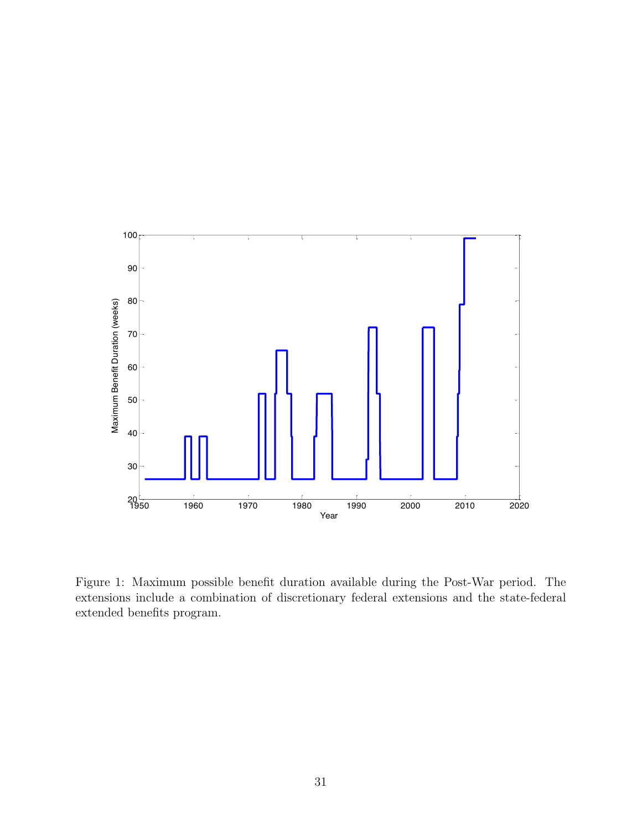

<span id="page-30-0"></span>Figure 1: Maximum possible benefit duration available during the Post-War period. The extensions include a combination of discretionary federal extensions and the state-federal extended benefits program.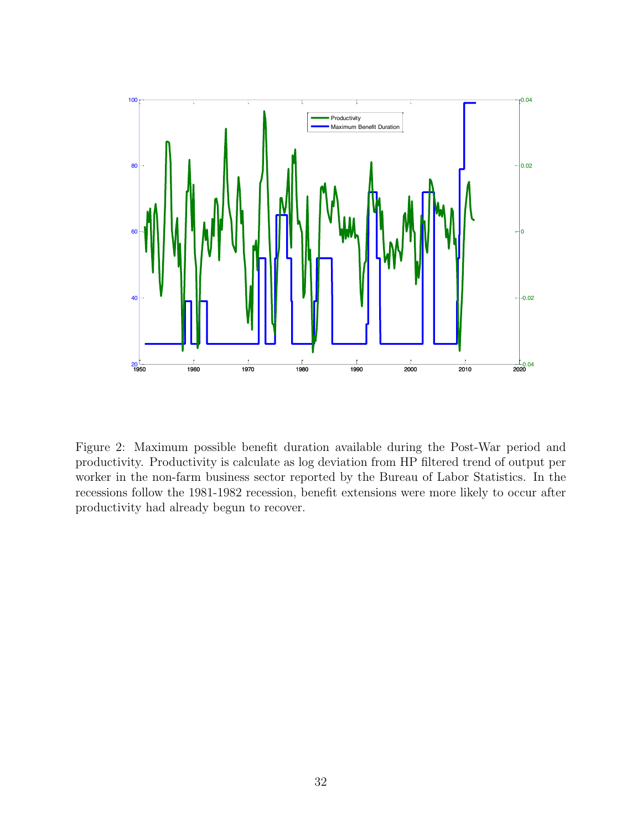

<span id="page-31-0"></span>Figure 2: Maximum possible benefit duration available during the Post-War period and productivity. Productivity is calculate as log deviation from HP filtered trend of output per worker in the non-farm business sector reported by the Bureau of Labor Statistics. In the recessions follow the 1981-1982 recession, benefit extensions were more likely to occur after productivity had already begun to recover.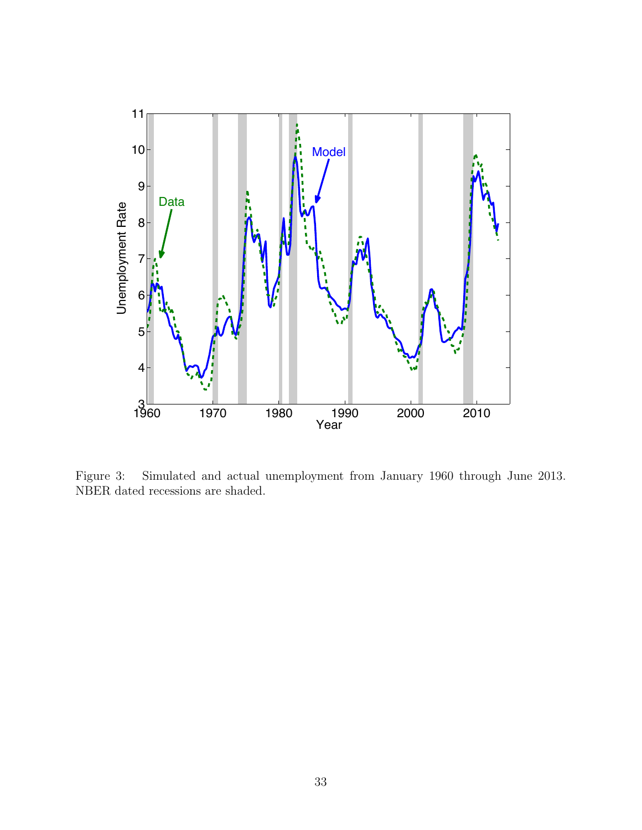

<span id="page-32-0"></span>Figure 3: Simulated and actual unemployment from January 1960 through June 2013. NBER dated recessions are shaded.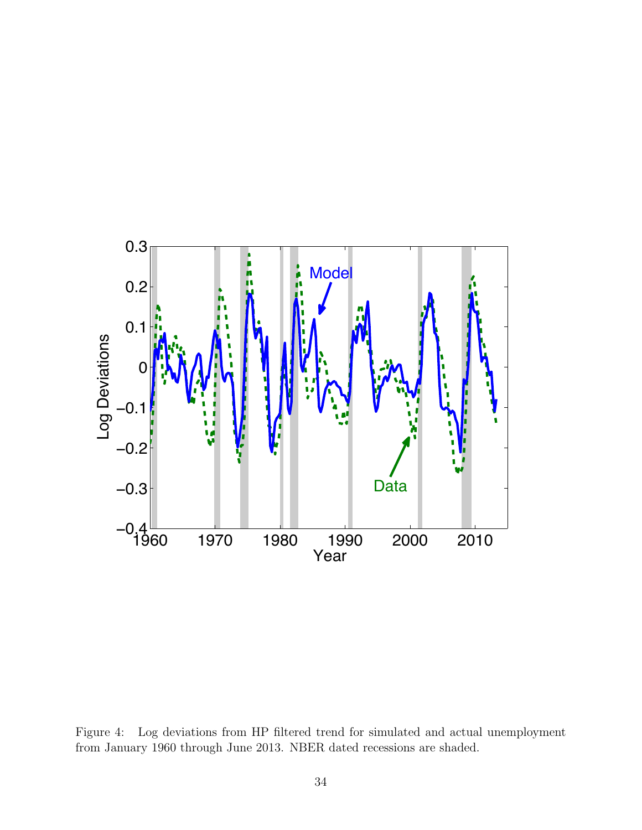

<span id="page-33-0"></span>Figure 4: Log deviations from HP filtered trend for simulated and actual unemployment from January 1960 through June 2013. NBER dated recessions are shaded.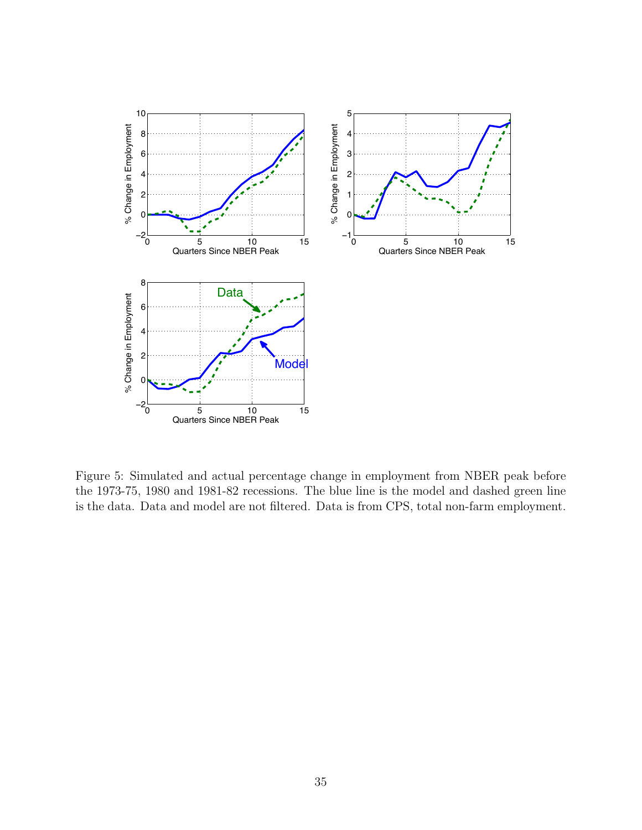

<span id="page-34-0"></span>Figure 5: Simulated and actual percentage change in employment from NBER peak before the 1973-75, 1980 and 1981-82 recessions. The blue line is the model and dashed green line is the data. Data and model are not filtered. Data is from CPS, total non-farm employment.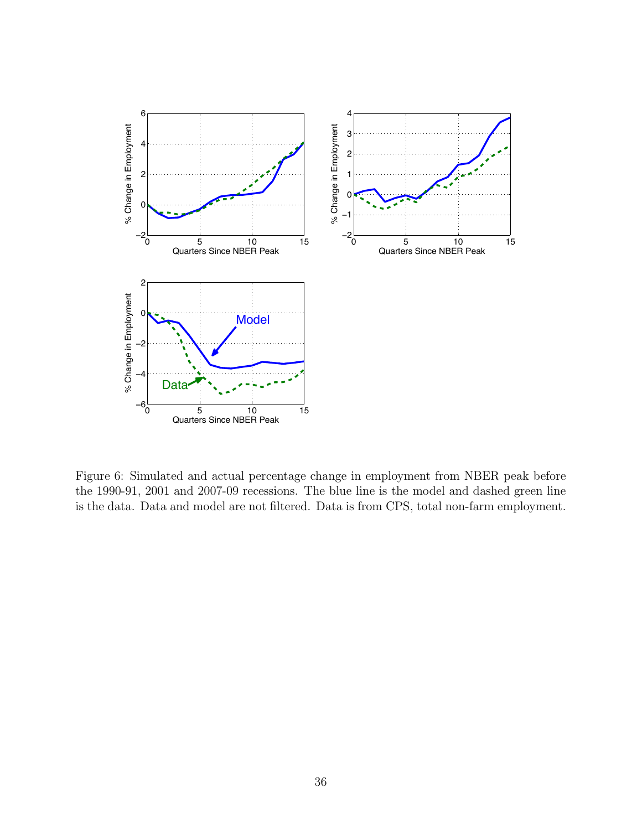

<span id="page-35-0"></span>Figure 6: Simulated and actual percentage change in employment from NBER peak before the 1990-91, 2001 and 2007-09 recessions. The blue line is the model and dashed green line is the data. Data and model are not filtered. Data is from CPS, total non-farm employment.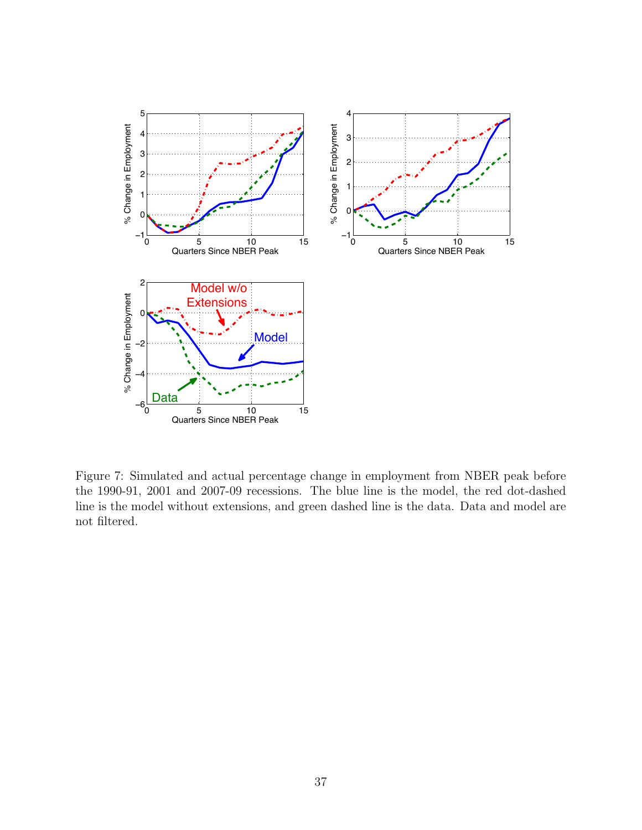

<span id="page-36-0"></span>Figure 7: Simulated and actual percentage change in employment from NBER peak before the 1990-91, 2001 and 2007-09 recessions. The blue line is the model, the red dot-dashed line is the model without extensions, and green dashed line is the data. Data and model are not filtered.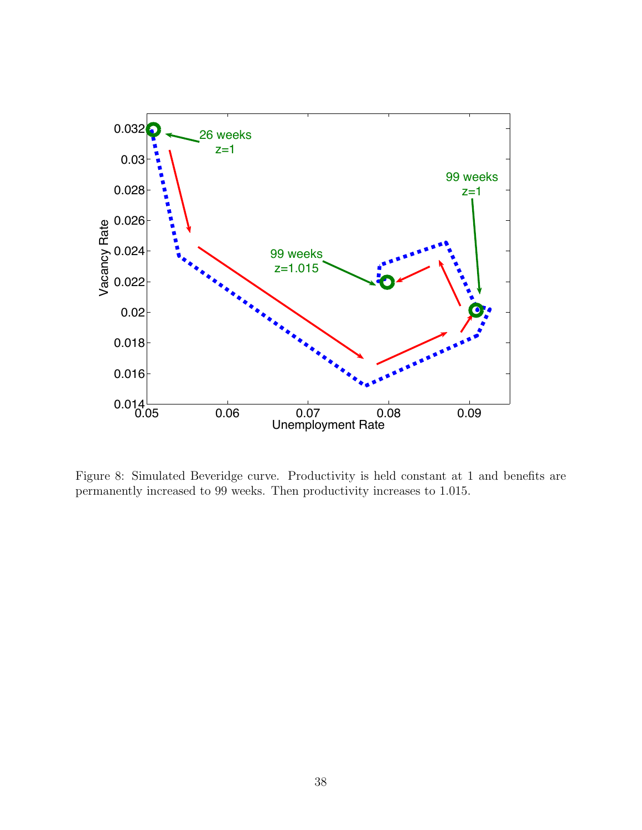

<span id="page-37-0"></span>Figure 8: Simulated Beveridge curve. Productivity is held constant at 1 and benefits are permanently increased to 99 weeks. Then productivity increases to 1.015.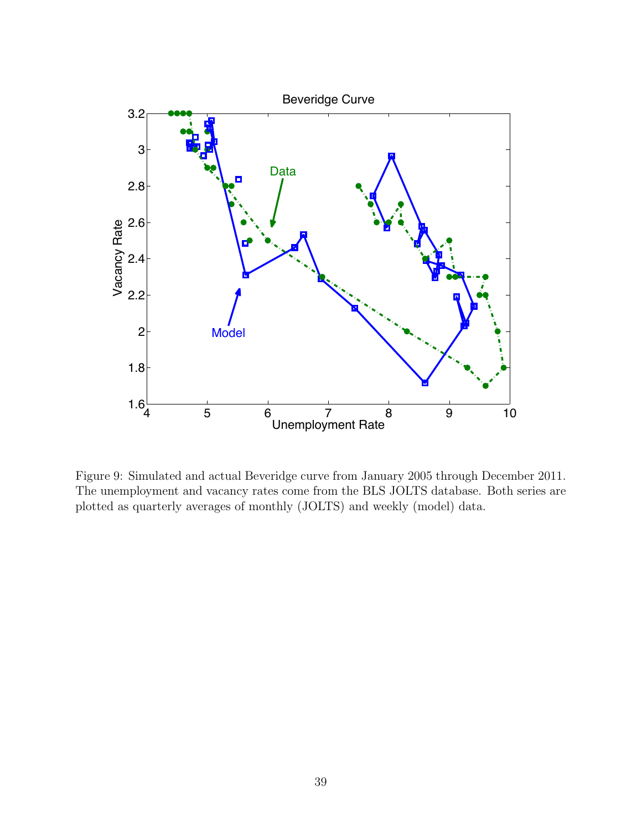

<span id="page-38-0"></span>Figure 9: Simulated and actual Beveridge curve from January 2005 through December 2011. The unemployment and vacancy rates come from the BLS JOLTS database. Both series are plotted as quarterly averages of monthly (JOLTS) and weekly (model) data.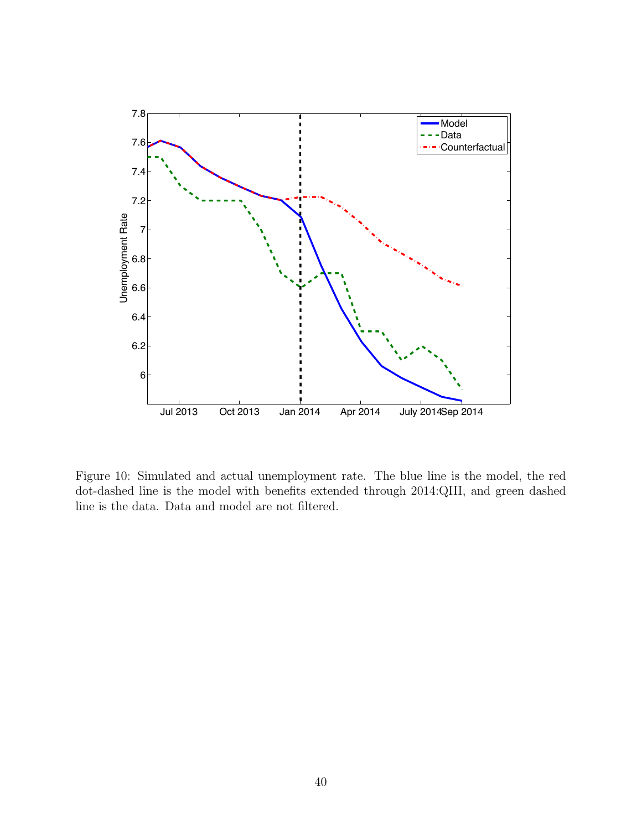

<span id="page-39-0"></span>Figure 10: Simulated and actual unemployment rate. The blue line is the model, the red dot-dashed line is the model with benefits extended through 2014:QIII, and green dashed line is the data. Data and model are not filtered.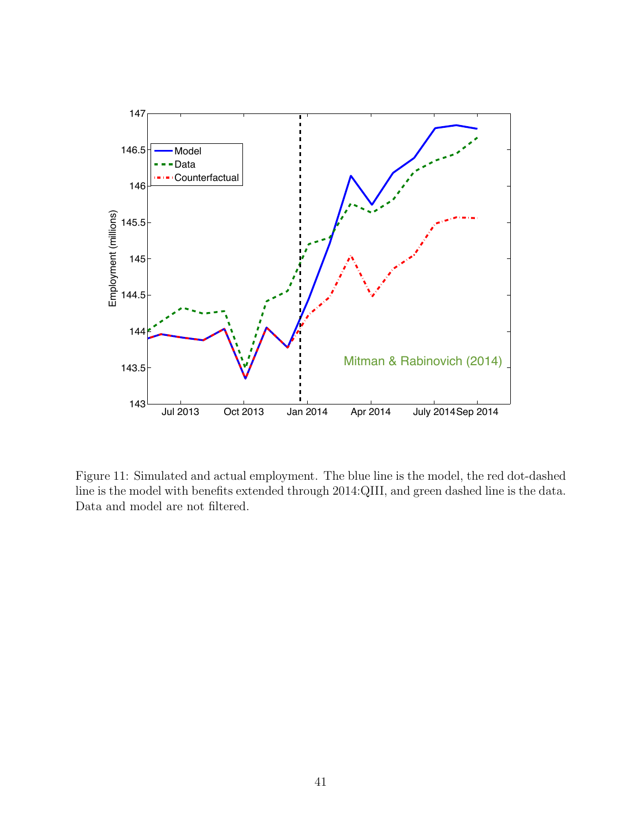

<span id="page-40-0"></span>Figure 11: Simulated and actual employment. The blue line is the model, the red dot-dashed line is the model with benefits extended through 2014:QIII, and green dashed line is the data. Data and model are not filtered.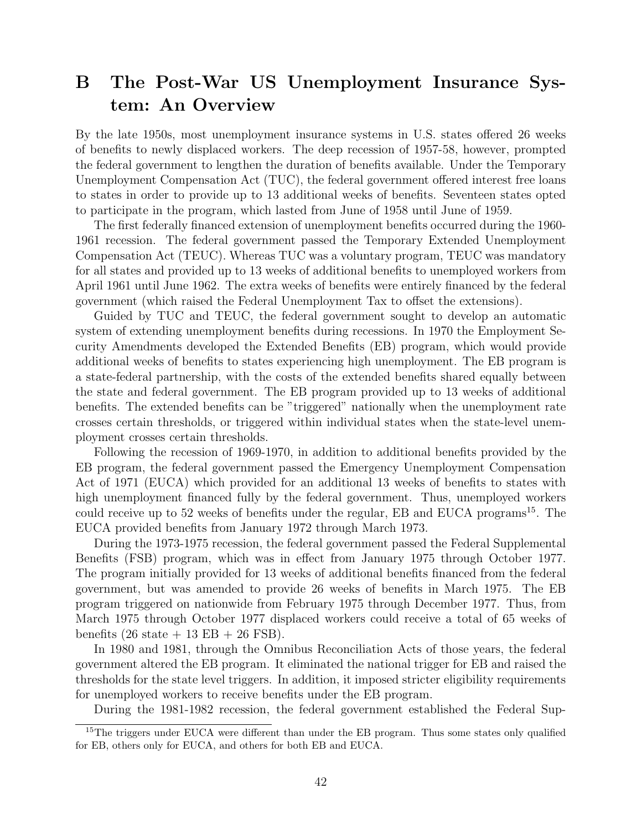## <span id="page-41-0"></span>B The Post-War US Unemployment Insurance System: An Overview

By the late 1950s, most unemployment insurance systems in U.S. states offered 26 weeks of benefits to newly displaced workers. The deep recession of 1957-58, however, prompted the federal government to lengthen the duration of benefits available. Under the Temporary Unemployment Compensation Act (TUC), the federal government offered interest free loans to states in order to provide up to 13 additional weeks of benefits. Seventeen states opted to participate in the program, which lasted from June of 1958 until June of 1959.

The first federally financed extension of unemployment benefits occurred during the 1960- 1961 recession. The federal government passed the Temporary Extended Unemployment Compensation Act (TEUC). Whereas TUC was a voluntary program, TEUC was mandatory for all states and provided up to 13 weeks of additional benefits to unemployed workers from April 1961 until June 1962. The extra weeks of benefits were entirely financed by the federal government (which raised the Federal Unemployment Tax to offset the extensions).

Guided by TUC and TEUC, the federal government sought to develop an automatic system of extending unemployment benefits during recessions. In 1970 the Employment Security Amendments developed the Extended Benefits (EB) program, which would provide additional weeks of benefits to states experiencing high unemployment. The EB program is a state-federal partnership, with the costs of the extended benefits shared equally between the state and federal government. The EB program provided up to 13 weeks of additional benefits. The extended benefits can be "triggered" nationally when the unemployment rate crosses certain thresholds, or triggered within individual states when the state-level unemployment crosses certain thresholds.

Following the recession of 1969-1970, in addition to additional benefits provided by the EB program, the federal government passed the Emergency Unemployment Compensation Act of 1971 (EUCA) which provided for an additional 13 weeks of benefits to states with high unemployment financed fully by the federal government. Thus, unemployed workers could receive up to 52 weeks of benefits under the regular, EB and EUCA programs<sup>[15](#page-0-0)</sup>. The EUCA provided benefits from January 1972 through March 1973.

During the 1973-1975 recession, the federal government passed the Federal Supplemental Benefits (FSB) program, which was in effect from January 1975 through October 1977. The program initially provided for 13 weeks of additional benefits financed from the federal government, but was amended to provide 26 weeks of benefits in March 1975. The EB program triggered on nationwide from February 1975 through December 1977. Thus, from March 1975 through October 1977 displaced workers could receive a total of 65 weeks of benefits  $(26 \text{ state} + 13 \text{ EB} + 26 \text{ FSB}).$ 

In 1980 and 1981, through the Omnibus Reconciliation Acts of those years, the federal government altered the EB program. It eliminated the national trigger for EB and raised the thresholds for the state level triggers. In addition, it imposed stricter eligibility requirements for unemployed workers to receive benefits under the EB program.

During the 1981-1982 recession, the federal government established the Federal Sup-

<sup>&</sup>lt;sup>15</sup>The triggers under EUCA were different than under the EB program. Thus some states only qualified for EB, others only for EUCA, and others for both EB and EUCA.